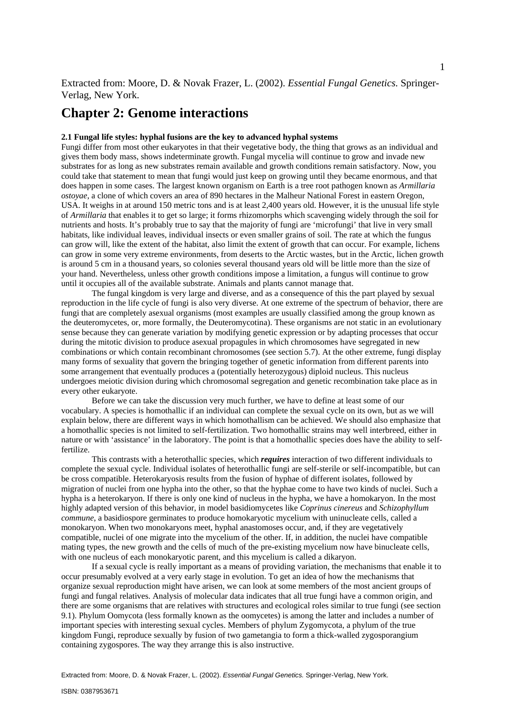# **Chapter 2: Genome interactions**

## **2.1 Fungal life styles: hyphal fusions are the key to advanced hyphal systems**

Fungi differ from most other eukaryotes in that their vegetative body, the thing that grows as an individual and gives them body mass, shows indeterminate growth. Fungal mycelia will continue to grow and invade new substrates for as long as new substrates remain available and growth conditions remain satisfactory. Now, you could take that statement to mean that fungi would just keep on growing until they became enormous, and that does happen in some cases. The largest known organism on Earth is a tree root pathogen known as *Armillaria ostoyae*, a clone of which covers an area of 890 hectares in the Malheur National Forest in eastern Oregon, USA. It weighs in at around 150 metric tons and is at least 2,400 years old. However, it is the unusual life style of *Armillaria* that enables it to get so large; it forms rhizomorphs which scavenging widely through the soil for nutrients and hosts. It's probably true to say that the majority of fungi are 'microfungi' that live in very small habitats, like individual leaves, individual insects or even smaller grains of soil. The rate at which the fungus can grow will, like the extent of the habitat, also limit the extent of growth that can occur. For example, lichens can grow in some very extreme environments, from deserts to the Arctic wastes, but in the Arctic, lichen growth is around 5 cm in a thousand years, so colonies several thousand years old will be little more than the size of your hand. Nevertheless, unless other growth conditions impose a limitation, a fungus will continue to grow until it occupies all of the available substrate. Animals and plants cannot manage that.

 The fungal kingdom is very large and diverse, and as a consequence of this the part played by sexual reproduction in the life cycle of fungi is also very diverse. At one extreme of the spectrum of behavior, there are fungi that are completely asexual organisms (most examples are usually classified among the group known as the deuteromycetes, or, more formally, the Deuteromycotina). These organisms are not static in an evolutionary sense because they can generate variation by modifying genetic expression or by adapting processes that occur during the mitotic division to produce asexual propagules in which chromosomes have segregated in new combinations or which contain recombinant chromosomes (see section 5.7). At the other extreme, fungi display many forms of sexuality that govern the bringing together of genetic information from different parents into some arrangement that eventually produces a (potentially heterozygous) diploid nucleus. This nucleus undergoes meiotic division during which chromosomal segregation and genetic recombination take place as in every other eukaryote.

 Before we can take the discussion very much further, we have to define at least some of our vocabulary. A species is homothallic if an individual can complete the sexual cycle on its own, but as we will explain below, there are different ways in which homothallism can be achieved. We should also emphasize that a homothallic species is not limited to self-fertilization. Two homothallic strains may well interbreed, either in nature or with 'assistance' in the laboratory. The point is that a homothallic species does have the ability to selffertilize.

 This contrasts with a heterothallic species, which *requires* interaction of two different individuals to complete the sexual cycle. Individual isolates of heterothallic fungi are self-sterile or self-incompatible, but can be cross compatible. Heterokaryosis results from the fusion of hyphae of different isolates, followed by migration of nuclei from one hypha into the other, so that the hyphae come to have two kinds of nuclei. Such a hypha is a heterokaryon. If there is only one kind of nucleus in the hypha, we have a homokaryon. In the most highly adapted version of this behavior, in model basidiomycetes like *Coprinus cinereus* and *Schizophyllum commune*, a basidiospore germinates to produce homokaryotic mycelium with uninucleate cells, called a monokaryon. When two monokaryons meet, hyphal anastomoses occur, and, if they are vegetatively compatible, nuclei of one migrate into the mycelium of the other. If, in addition, the nuclei have compatible mating types, the new growth and the cells of much of the pre-existing mycelium now have binucleate cells, with one nucleus of each monokaryotic parent, and this mycelium is called a dikaryon.

 If a sexual cycle is really important as a means of providing variation, the mechanisms that enable it to occur presumably evolved at a very early stage in evolution. To get an idea of how the mechanisms that organize sexual reproduction might have arisen, we can look at some members of the most ancient groups of fungi and fungal relatives. Analysis of molecular data indicates that all true fungi have a common origin, and there are some organisms that are relatives with structures and ecological roles similar to true fungi (see section 9.1). Phylum Oomycota (less formally known as the oomycetes) is among the latter and includes a number of important species with interesting sexual cycles. Members of phylum Zygomycota, a phylum of the true kingdom Fungi, reproduce sexually by fusion of two gametangia to form a thick-walled zygosporangium containing zygospores. The way they arrange this is also instructive.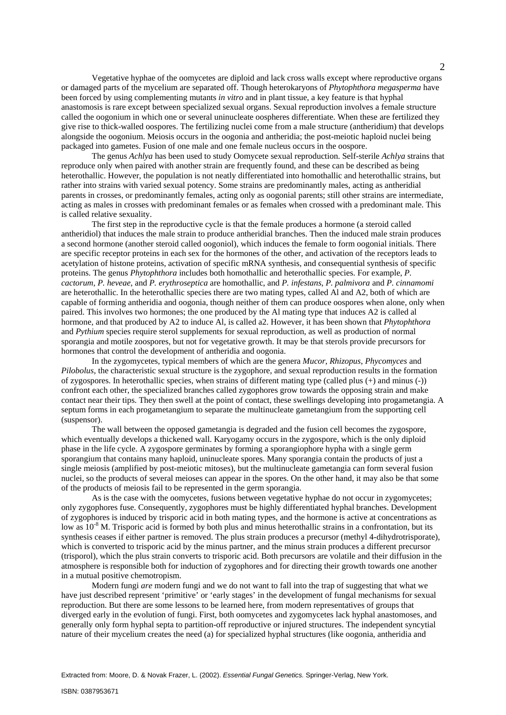Vegetative hyphae of the oomycetes are diploid and lack cross walls except where reproductive organs or damaged parts of the mycelium are separated off. Though heterokaryons of *Phytophthora megasperma* have been forced by using complementing mutants *in vitro* and in plant tissue, a key feature is that hyphal anastomosis is rare except between specialized sexual organs. Sexual reproduction involves a female structure called the oogonium in which one or several uninucleate oospheres differentiate. When these are fertilized they give rise to thick-walled oospores. The fertilizing nuclei come from a male structure (antheridium) that develops alongside the oogonium. Meiosis occurs in the oogonia and antheridia; the post-meiotic haploid nuclei being packaged into gametes. Fusion of one male and one female nucleus occurs in the oospore.

 The genus *Achlya* has been used to study Oomycete sexual reproduction. Self-sterile *Achlya* strains that reproduce only when paired with another strain are frequently found, and these can be described as being heterothallic. However, the population is not neatly differentiated into homothallic and heterothallic strains, but rather into strains with varied sexual potency. Some strains are predominantly males, acting as antheridial parents in crosses, or predominantly females, acting only as oogonial parents; still other strains are intermediate, acting as males in crosses with predominant females or as females when crossed with a predominant male. This is called relative sexuality.

 The first step in the reproductive cycle is that the female produces a hormone (a steroid called antheridiol) that induces the male strain to produce antheridial branches. Then the induced male strain produces a second hormone (another steroid called oogoniol), which induces the female to form oogonial initials. There are specific receptor proteins in each sex for the hormones of the other, and activation of the receptors leads to acetylation of histone proteins, activation of specific mRNA synthesis, and consequential synthesis of specific proteins. The genus *Phytophthora* includes both homothallic and heterothallic species. For example, *P. cactorum*, *P. heveae*, and *P. erythroseptica* are homothallic, and *P. infestans*, *P. palmivora* and *P. cinnamomi* are heterothallic. In the heterothallic species there are two mating types, called Al and A2, both of which are capable of forming antheridia and oogonia, though neither of them can produce oospores when alone, only when paired. This involves two hormones; the one produced by the Al mating type that induces A2 is called al hormone, and that produced by A2 to induce Al, is called a2. However, it has been shown that *Phytophthora* and *Pythium* species require sterol supplements for sexual reproduction, as well as production of normal sporangia and motile zoospores, but not for vegetative growth. It may be that sterols provide precursors for hormones that control the development of antheridia and oogonia.

 In the zygomycetes, typical members of which are the genera *Mucor*, *Rhizopus*, *Phycomyces* and *Pilobolus*, the characteristic sexual structure is the zygophore, and sexual reproduction results in the formation of zygospores. In heterothallic species, when strains of different mating type (called plus (+) and minus (-)) confront each other, the specialized branches called zygophores grow towards the opposing strain and make contact near their tips. They then swell at the point of contact, these swellings developing into progametangia. A septum forms in each progametangium to separate the multinucleate gametangium from the supporting cell (suspensor).

 The wall between the opposed gametangia is degraded and the fusion cell becomes the zygospore, which eventually develops a thickened wall. Karyogamy occurs in the zygospore, which is the only diploid phase in the life cycle. A zygospore germinates by forming a sporangiophore hypha with a single germ sporangium that contains many haploid, uninucleate spores. Many sporangia contain the products of just a single meiosis (amplified by post-meiotic mitoses), but the multinucleate gametangia can form several fusion nuclei, so the products of several meioses can appear in the spores. On the other hand, it may also be that some of the products of meiosis fail to be represented in the germ sporangia.

 As is the case with the oomycetes, fusions between vegetative hyphae do not occur in zygomycetes; only zygophores fuse. Consequently, zygophores must be highly differentiated hyphal branches. Development of zygophores is induced by trisporic acid in both mating types, and the hormone is active at concentrations as low as  $10^{-8}$  M. Trisporic acid is formed by both plus and minus heterothallic strains in a confrontation, but its synthesis ceases if either partner is removed. The plus strain produces a precursor (methyl 4-dihydrotrisporate), which is converted to trisporic acid by the minus partner, and the minus strain produces a different precursor (trisporol), which the plus strain converts to trisporic acid. Both precursors are volatile and their diffusion in the atmosphere is responsible both for induction of zygophores and for directing their growth towards one another in a mutual positive chemotropism.

 Modern fungi *are* modern fungi and we do not want to fall into the trap of suggesting that what we have just described represent 'primitive' or 'early stages' in the development of fungal mechanisms for sexual reproduction. But there are some lessons to be learned here, from modern representatives of groups that diverged early in the evolution of fungi. First, both oomycetes and zygomycetes lack hyphal anastomoses, and generally only form hyphal septa to partition-off reproductive or injured structures. The independent syncytial nature of their mycelium creates the need (a) for specialized hyphal structures (like oogonia, antheridia and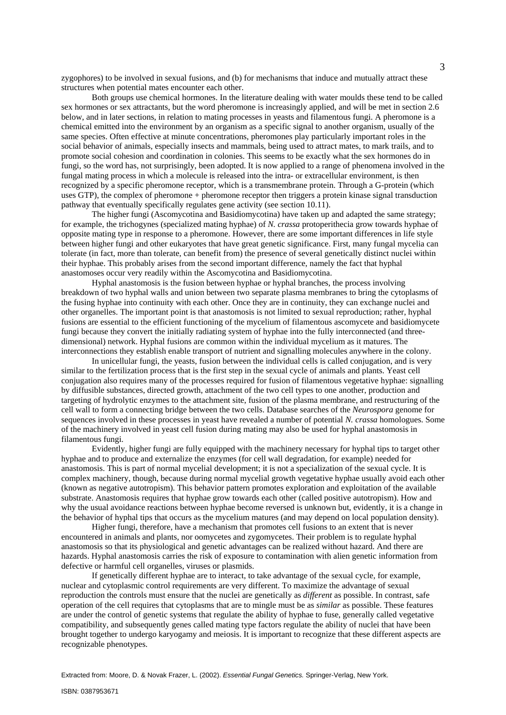zygophores) to be involved in sexual fusions, and (b) for mechanisms that induce and mutually attract these structures when potential mates encounter each other.

 Both groups use chemical hormones. In the literature dealing with water moulds these tend to be called sex hormones or sex attractants, but the word pheromone is increasingly applied, and will be met in section 2.6 below, and in later sections, in relation to mating processes in yeasts and filamentous fungi. A pheromone is a chemical emitted into the environment by an organism as a specific signal to another organism, usually of the same species. Often effective at minute concentrations, pheromones play particularly important roles in the social behavior of animals, especially insects and mammals, being used to attract mates, to mark trails, and to promote social cohesion and coordination in colonies. This seems to be exactly what the sex hormones do in fungi, so the word has, not surprisingly, been adopted. It is now applied to a range of phenomena involved in the fungal mating process in which a molecule is released into the intra- or extracellular environment, is then recognized by a specific pheromone receptor, which is a transmembrane protein. Through a G-protein (which uses GTP), the complex of pheromone + pheromone receptor then triggers a protein kinase signal transduction pathway that eventually specifically regulates gene activity (see section 10.11).

 The higher fungi (Ascomycotina and Basidiomycotina) have taken up and adapted the same strategy; for example, the trichogynes (specialized mating hyphae) of *N. crassa* protoperithecia grow towards hyphae of opposite mating type in response to a pheromone. However, there are some important differences in life style between higher fungi and other eukaryotes that have great genetic significance. First, many fungal mycelia can tolerate (in fact, more than tolerate, can benefit from) the presence of several genetically distinct nuclei within their hyphae. This probably arises from the second important difference, namely the fact that hyphal anastomoses occur very readily within the Ascomycotina and Basidiomycotina.

 Hyphal anastomosis is the fusion between hyphae or hyphal branches, the process involving breakdown of two hyphal walls and union between two separate plasma membranes to bring the cytoplasms of the fusing hyphae into continuity with each other. Once they are in continuity, they can exchange nuclei and other organelles. The important point is that anastomosis is not limited to sexual reproduction; rather, hyphal fusions are essential to the efficient functioning of the mycelium of filamentous ascomycete and basidiomycete fungi because they convert the initially radiating system of hyphae into the fully interconnected (and threedimensional) network. Hyphal fusions are common within the individual mycelium as it matures. The interconnections they establish enable transport of nutrient and signalling molecules anywhere in the colony.

 In unicellular fungi, the yeasts, fusion between the individual cells is called conjugation, and is very similar to the fertilization process that is the first step in the sexual cycle of animals and plants. Yeast cell conjugation also requires many of the processes required for fusion of filamentous vegetative hyphae: signalling by diffusible substances, directed growth, attachment of the two cell types to one another, production and targeting of hydrolytic enzymes to the attachment site, fusion of the plasma membrane, and restructuring of the cell wall to form a connecting bridge between the two cells. Database searches of the *Neurospora* genome for sequences involved in these processes in yeast have revealed a number of potential *N. crassa* homologues. Some of the machinery involved in yeast cell fusion during mating may also be used for hyphal anastomosis in filamentous fungi.

 Evidently, higher fungi are fully equipped with the machinery necessary for hyphal tips to target other hyphae and to produce and externalize the enzymes (for cell wall degradation, for example) needed for anastomosis. This is part of normal mycelial development; it is not a specialization of the sexual cycle. It is complex machinery, though, because during normal mycelial growth vegetative hyphae usually avoid each other (known as negative autotropism). This behavior pattern promotes exploration and exploitation of the available substrate. Anastomosis requires that hyphae grow towards each other (called positive autotropism). How and why the usual avoidance reactions between hyphae become reversed is unknown but, evidently, it is a change in the behavior of hyphal tips that occurs as the mycelium matures (and may depend on local population density).

 Higher fungi, therefore, have a mechanism that promotes cell fusions to an extent that is never encountered in animals and plants, nor oomycetes and zygomycetes. Their problem is to regulate hyphal anastomosis so that its physiological and genetic advantages can be realized without hazard. And there are hazards. Hyphal anastomosis carries the risk of exposure to contamination with alien genetic information from defective or harmful cell organelles, viruses or plasmids.

 If genetically different hyphae are to interact, to take advantage of the sexual cycle, for example, nuclear and cytoplasmic control requirements are very different. To maximize the advantage of sexual reproduction the controls must ensure that the nuclei are genetically as *different* as possible. In contrast, safe operation of the cell requires that cytoplasms that are to mingle must be as *similar* as possible. These features are under the control of genetic systems that regulate the ability of hyphae to fuse, generally called vegetative compatibility, and subsequently genes called mating type factors regulate the ability of nuclei that have been brought together to undergo karyogamy and meiosis. It is important to recognize that these different aspects are recognizable phenotypes.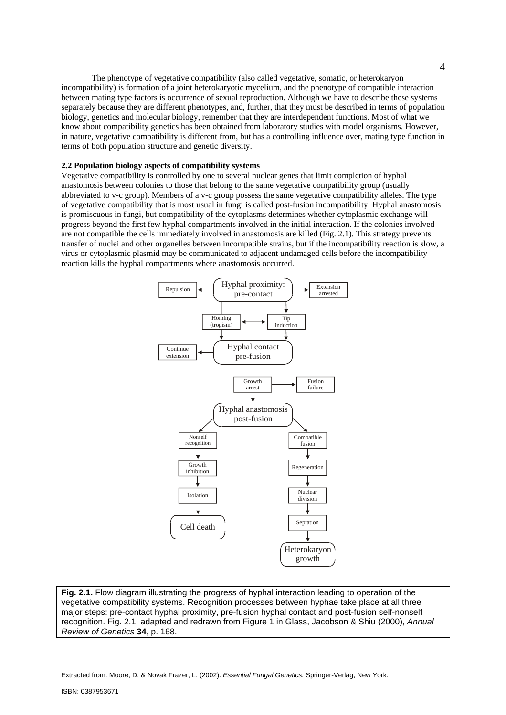The phenotype of vegetative compatibility (also called vegetative, somatic, or heterokaryon incompatibility) is formation of a joint heterokaryotic mycelium, and the phenotype of compatible interaction between mating type factors is occurrence of sexual reproduction. Although we have to describe these systems separately because they are different phenotypes, and, further, that they must be described in terms of population biology, genetics and molecular biology, remember that they are interdependent functions. Most of what we know about compatibility genetics has been obtained from laboratory studies with model organisms. However, in nature, vegetative compatibility is different from, but has a controlling influence over, mating type function in terms of both population structure and genetic diversity.

#### **2.2 Population biology aspects of compatibility systems**

Vegetative compatibility is controlled by one to several nuclear genes that limit completion of hyphal anastomosis between colonies to those that belong to the same vegetative compatibility group (usually abbreviated to v-c group). Members of a v-c group possess the same vegetative compatibility alleles. The type of vegetative compatibility that is most usual in fungi is called post-fusion incompatibility. Hyphal anastomosis is promiscuous in fungi, but compatibility of the cytoplasms determines whether cytoplasmic exchange will progress beyond the first few hyphal compartments involved in the initial interaction. If the colonies involved are not compatible the cells immediately involved in anastomosis are killed (Fig. 2.1). This strategy prevents transfer of nuclei and other organelles between incompatible strains, but if the incompatibility reaction is slow, a virus or cytoplasmic plasmid may be communicated to adjacent undamaged cells before the incompatibility reaction kills the hyphal compartments where anastomosis occurred.



**Fig. 2.1.** Flow diagram illustrating the progress of hyphal interaction leading to operation of the vegetative compatibility systems. Recognition processes between hyphae take place at all three major steps: pre-contact hyphal proximity, pre-fusion hyphal contact and post-fusion self-nonself recognition. Fig. 2.1. adapted and redrawn from Figure 1 in Glass, Jacobson & Shiu (2000), *Annual Review of Genetics* **34**, p. 168.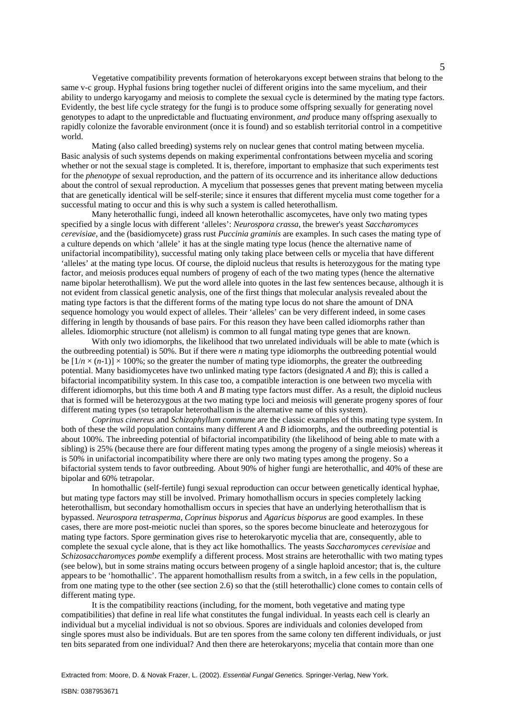Vegetative compatibility prevents formation of heterokaryons except between strains that belong to the same v-c group. Hyphal fusions bring together nuclei of different origins into the same mycelium, and their ability to undergo karyogamy and meiosis to complete the sexual cycle is determined by the mating type factors. Evidently, the best life cycle strategy for the fungi is to produce some offspring sexually for generating novel genotypes to adapt to the unpredictable and fluctuating environment, *and* produce many offspring asexually to rapidly colonize the favorable environment (once it is found) and so establish territorial control in a competitive world.

 Mating (also called breeding) systems rely on nuclear genes that control mating between mycelia. Basic analysis of such systems depends on making experimental confrontations between mycelia and scoring whether or not the sexual stage is completed. It is, therefore, important to emphasize that such experiments test for the *phenotype* of sexual reproduction, and the pattern of its occurrence and its inheritance allow deductions about the control of sexual reproduction. A mycelium that possesses genes that prevent mating between mycelia that are genetically identical will be self-sterile; since it ensures that different mycelia must come together for a successful mating to occur and this is why such a system is called heterothallism.

 Many heterothallic fungi, indeed all known heterothallic ascomycetes, have only two mating types specified by a single locus with different 'alleles': *Neurospora crassa*, the brewer's yeast *Saccharomyces cerevisiae*, and the (basidiomycete) grass rust *Puccinia graminis* are examples. In such cases the mating type of a culture depends on which 'allele' it has at the single mating type locus (hence the alternative name of unifactorial incompatibility), successful mating only taking place between cells or mycelia that have different 'alleles' at the mating type locus. Of course, the diploid nucleus that results is heterozygous for the mating type factor, and meiosis produces equal numbers of progeny of each of the two mating types (hence the alternative name bipolar heterothallism). We put the word allele into quotes in the last few sentences because, although it is not evident from classical genetic analysis, one of the first things that molecular analysis revealed about the mating type factors is that the different forms of the mating type locus do not share the amount of DNA sequence homology you would expect of alleles. Their 'alleles' can be very different indeed, in some cases differing in length by thousands of base pairs. For this reason they have been called idiomorphs rather than alleles. Idiomorphic structure (not allelism) is common to all fungal mating type genes that are known.

 With only two idiomorphs, the likelihood that two unrelated individuals will be able to mate (which is the outbreeding potential) is 50%. But if there were *n* mating type idiomorphs the outbreeding potential would be  $[1/n \times (n-1)] \times 100\%$ ; so the greater the number of mating type idiomorphs, the greater the outbreeding potential. Many basidiomycetes have two unlinked mating type factors (designated *A* and *B*); this is called a bifactorial incompatibility system. In this case too, a compatible interaction is one between two mycelia with different idiomorphs, but this time both *A* and *B* mating type factors must differ. As a result, the diploid nucleus that is formed will be heterozygous at the two mating type loci and meiosis will generate progeny spores of four different mating types (so tetrapolar heterothallism is the alternative name of this system).

*Coprinus cinereus* and *Schizophyllum commune* are the classic examples of this mating type system. In both of these the wild population contains many different *A* and *B* idiomorphs, and the outbreeding potential is about 100%. The inbreeding potential of bifactorial incompatibility (the likelihood of being able to mate with a sibling) is 25% (because there are four different mating types among the progeny of a single meiosis) whereas it is 50% in unifactorial incompatibility where there are only two mating types among the progeny. So a bifactorial system tends to favor outbreeding. About 90% of higher fungi are heterothallic, and 40% of these are bipolar and 60% tetrapolar.

 In homothallic (self-fertile) fungi sexual reproduction can occur between genetically identical hyphae, but mating type factors may still be involved. Primary homothallism occurs in species completely lacking heterothallism, but secondary homothallism occurs in species that have an underlying heterothallism that is bypassed. *Neurospora tetrasperma*, *Coprinus bisporus* and *Agaricus bisporus* are good examples. In these cases, there are more post-meiotic nuclei than spores, so the spores become binucleate and heterozygous for mating type factors. Spore germination gives rise to heterokaryotic mycelia that are, consequently, able to complete the sexual cycle alone, that is they act like homothallics. The yeasts *Saccharomyces cerevisiae* and *Schizosaccharomyces pombe* exemplify a different process. Most strains are heterothallic with two mating types (see below), but in some strains mating occurs between progeny of a single haploid ancestor; that is, the culture appears to be 'homothallic'. The apparent homothallism results from a switch, in a few cells in the population, from one mating type to the other (see section 2.6) so that the (still heterothallic) clone comes to contain cells of different mating type.

 It is the compatibility reactions (including, for the moment, both vegetative and mating type compatibilities) that define in real life what constitutes the fungal individual. In yeasts each cell is clearly an individual but a mycelial individual is not so obvious. Spores are individuals and colonies developed from single spores must also be individuals. But are ten spores from the same colony ten different individuals, or just ten bits separated from one individual? And then there are heterokaryons; mycelia that contain more than one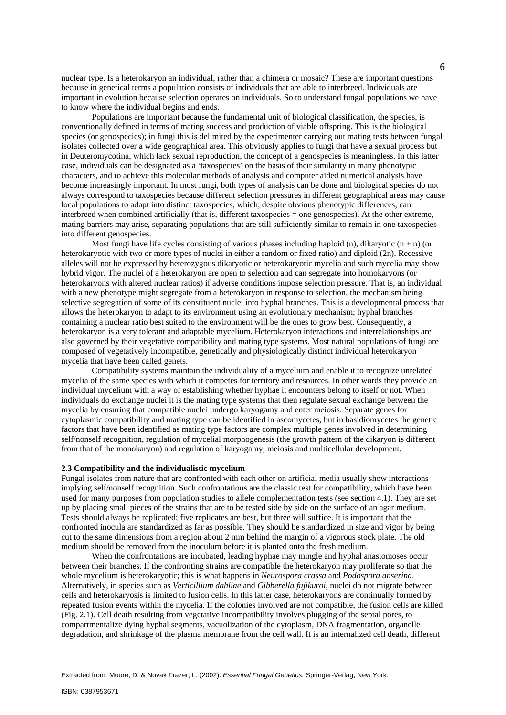nuclear type. Is a heterokaryon an individual, rather than a chimera or mosaic? These are important questions because in genetical terms a population consists of individuals that are able to interbreed. Individuals are important in evolution because selection operates on individuals. So to understand fungal populations we have to know where the individual begins and ends.

 Populations are important because the fundamental unit of biological classification, the species, is conventionally defined in terms of mating success and production of viable offspring. This is the biological species (or genospecies); in fungi this is delimited by the experimenter carrying out mating tests between fungal isolates collected over a wide geographical area. This obviously applies to fungi that have a sexual process but in Deuteromycotina, which lack sexual reproduction, the concept of a genospecies is meaningless. In this latter case, individuals can be designated as a 'taxospecies' on the basis of their similarity in many phenotypic characters, and to achieve this molecular methods of analysis and computer aided numerical analysis have become increasingly important. In most fungi, both types of analysis can be done and biological species do not always correspond to taxospecies because different selection pressures in different geographical areas may cause local populations to adapt into distinct taxospecies, which, despite obvious phenotypic differences, can interbreed when combined artificially (that is, different taxospecies = one genospecies). At the other extreme, mating barriers may arise, separating populations that are still sufficiently similar to remain in one taxospecies into different genospecies.

Most fungi have life cycles consisting of various phases including haploid (n), dikaryotic  $(n + n)$  (or heterokaryotic with two or more types of nuclei in either a random or fixed ratio) and diploid (2n). Recessive alleles will not be expressed by heterozygous dikaryotic or heterokaryotic mycelia and such mycelia may show hybrid vigor. The nuclei of a heterokaryon are open to selection and can segregate into homokaryons (or heterokaryons with altered nuclear ratios) if adverse conditions impose selection pressure. That is, an individual with a new phenotype might segregate from a heterokaryon in response to selection, the mechanism being selective segregation of some of its constituent nuclei into hyphal branches. This is a developmental process that allows the heterokaryon to adapt to its environment using an evolutionary mechanism; hyphal branches containing a nuclear ratio best suited to the environment will be the ones to grow best. Consequently, a heterokaryon is a very tolerant and adaptable mycelium. Heterokaryon interactions and interrelationships are also governed by their vegetative compatibility and mating type systems. Most natural populations of fungi are composed of vegetatively incompatible, genetically and physiologically distinct individual heterokaryon mycelia that have been called genets.

 Compatibility systems maintain the individuality of a mycelium and enable it to recognize unrelated mycelia of the same species with which it competes for territory and resources. In other words they provide an individual mycelium with a way of establishing whether hyphae it encounters belong to itself or not. When individuals do exchange nuclei it is the mating type systems that then regulate sexual exchange between the mycelia by ensuring that compatible nuclei undergo karyogamy and enter meiosis. Separate genes for cytoplasmic compatibility and mating type can be identified in ascomycetes, but in basidiomycetes the genetic factors that have been identified as mating type factors are complex multiple genes involved in determining self/nonself recognition, regulation of mycelial morphogenesis (the growth pattern of the dikaryon is different from that of the monokaryon) and regulation of karyogamy, meiosis and multicellular development.

#### **2.3 Compatibility and the individualistic mycelium**

Fungal isolates from nature that are confronted with each other on artificial media usually show interactions implying self/nonself recognition. Such confrontations are the classic test for compatibility, which have been used for many purposes from population studies to allele complementation tests (see section 4.1). They are set up by placing small pieces of the strains that are to be tested side by side on the surface of an agar medium. Tests should always be replicated; five replicates are best, but three will suffice. It is important that the confronted inocula are standardized as far as possible. They should be standardized in size and vigor by being cut to the same dimensions from a region about 2 mm behind the margin of a vigorous stock plate. The old medium should be removed from the inoculum before it is planted onto the fresh medium.

 When the confrontations are incubated, leading hyphae may mingle and hyphal anastomoses occur between their branches. If the confronting strains are compatible the heterokaryon may proliferate so that the whole mycelium is heterokaryotic; this is what happens in *Neurospora crassa* and *Podospora anserina*. Alternatively, in species such as *Verticillium dahliae* and *Gibberella fujikuroi*, nuclei do not migrate between cells and heterokaryosis is limited to fusion cells. In this latter case, heterokaryons are continually formed by repeated fusion events within the mycelia. If the colonies involved are not compatible, the fusion cells are killed (Fig. 2.1). Cell death resulting from vegetative incompatibility involves plugging of the septal pores, to compartmentalize dying hyphal segments, vacuolization of the cytoplasm, DNA fragmentation, organelle degradation, and shrinkage of the plasma membrane from the cell wall. It is an internalized cell death, different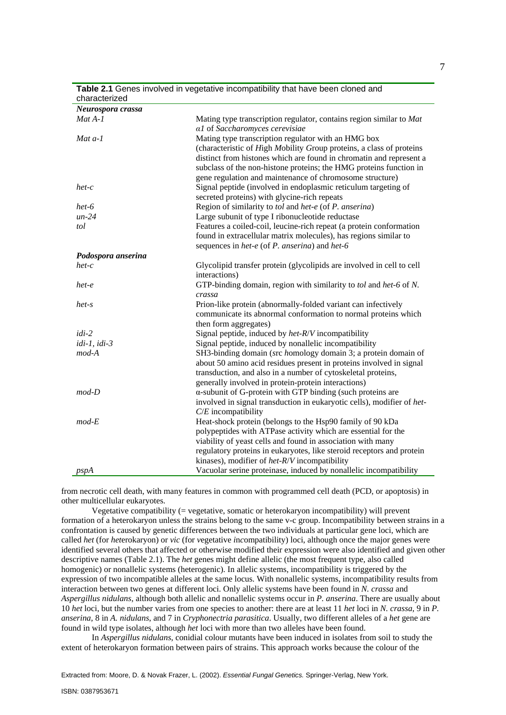| <b>Table 2.1</b> Genes involved in vegetative incompatibility that have been cloned and |                                                                                                                                 |
|-----------------------------------------------------------------------------------------|---------------------------------------------------------------------------------------------------------------------------------|
| characterized                                                                           |                                                                                                                                 |
| Neurospora crassa                                                                       |                                                                                                                                 |
| Mat A-1                                                                                 | Mating type transcription regulator, contains region similar to Mat                                                             |
|                                                                                         | al of Saccharomyces cerevisiae                                                                                                  |
| $Mat$ $a-1$                                                                             | Mating type transcription regulator with an HMG box                                                                             |
|                                                                                         | (characteristic of High Mobility Group proteins, a class of proteins                                                            |
|                                                                                         | distinct from histones which are found in chromatin and represent a                                                             |
|                                                                                         | subclass of the non-histone proteins; the HMG proteins function in                                                              |
|                                                                                         | gene regulation and maintenance of chromosome structure)                                                                        |
| het-c                                                                                   | Signal peptide (involved in endoplasmic reticulum targeting of                                                                  |
|                                                                                         | secreted proteins) with glycine-rich repeats                                                                                    |
| $het-6$                                                                                 | Region of similarity to tol and het-e (of P. anserina)                                                                          |
| $un-24$                                                                                 | Large subunit of type I ribonucleotide reductase                                                                                |
| tol                                                                                     | Features a coiled-coil, leucine-rich repeat (a protein conformation                                                             |
|                                                                                         | found in extracellular matrix molecules), has regions similar to                                                                |
|                                                                                         | sequences in het-e (of P. anserina) and het-6                                                                                   |
| Podospora anserina                                                                      |                                                                                                                                 |
| $het-c$                                                                                 | Glycolipid transfer protein (glycolipids are involved in cell to cell                                                           |
|                                                                                         | interactions)                                                                                                                   |
| het-e                                                                                   | GTP-binding domain, region with similarity to tol and het-6 of N.                                                               |
| het-s                                                                                   | crassa                                                                                                                          |
|                                                                                         | Prion-like protein (abnormally-folded variant can infectively<br>communicate its abnormal conformation to normal proteins which |
|                                                                                         | then form aggregates)                                                                                                           |
| idi-2                                                                                   | Signal peptide, induced by $het-R/V$ incompatibility                                                                            |
| $idi-1, idi-3$                                                                          | Signal peptide, induced by nonallelic incompatibility                                                                           |
| $mod-A$                                                                                 | SH3-binding domain (src homology domain 3; a protein domain of                                                                  |
|                                                                                         | about 50 amino acid residues present in proteins involved in signal                                                             |
|                                                                                         | transduction, and also in a number of cytoskeletal proteins,                                                                    |
|                                                                                         | generally involved in protein-protein interactions)                                                                             |
| $mod-D$                                                                                 | α-subunit of G-protein with GTP binding (such proteins are                                                                      |
|                                                                                         | involved in signal transduction in eukaryotic cells), modifier of het-                                                          |
|                                                                                         | $C/E$ incompatibility                                                                                                           |
| $mod-E$                                                                                 | Heat-shock protein (belongs to the Hsp90 family of 90 kDa                                                                       |
|                                                                                         | polypeptides with ATPase activity which are essential for the                                                                   |
|                                                                                         | viability of yeast cells and found in association with many                                                                     |
|                                                                                         | regulatory proteins in eukaryotes, like steroid receptors and protein                                                           |
|                                                                                         | kinases), modifier of $het-R/V$ incompatibility                                                                                 |
| pspA                                                                                    | Vacuolar serine proteinase, induced by nonallelic incompatibility                                                               |

from necrotic cell death, with many features in common with programmed cell death (PCD, or apoptosis) in other multicellular eukaryotes.

Vegetative compatibility ( $=$  vegetative, somatic or heterokaryon incompatibility) will prevent formation of a heterokaryon unless the strains belong to the same v-c group. Incompatibility between strains in a confrontation is caused by genetic differences between the two individuals at particular gene loci, which are called *het* (for *het*erokaryon) or *vic* (for *v*egetative *i*n*c*ompatibility) loci, although once the major genes were identified several others that affected or otherwise modified their expression were also identified and given other descriptive names (Table 2.1). The *het* genes might define allelic (the most frequent type, also called homogenic) or nonallelic systems (heterogenic). In allelic systems, incompatibility is triggered by the expression of two incompatible alleles at the same locus. With nonallelic systems, incompatibility results from interaction between two genes at different loci. Only allelic systems have been found in *N. crassa* and *Aspergillus nidulans*, although both allelic and nonallelic systems occur in *P. anserina*. There are usually about 10 *het* loci, but the number varies from one species to another: there are at least 11 *het* loci in *N. crassa*, 9 in *P. anserina*, 8 in *A. nidulans*, and 7 in *Cryphonectria parasitica*. Usually, two different alleles of a *het* gene are found in wild type isolates, although *het* loci with more than two alleles have been found.

 In *Aspergillus nidulans*, conidial colour mutants have been induced in isolates from soil to study the extent of heterokaryon formation between pairs of strains. This approach works because the colour of the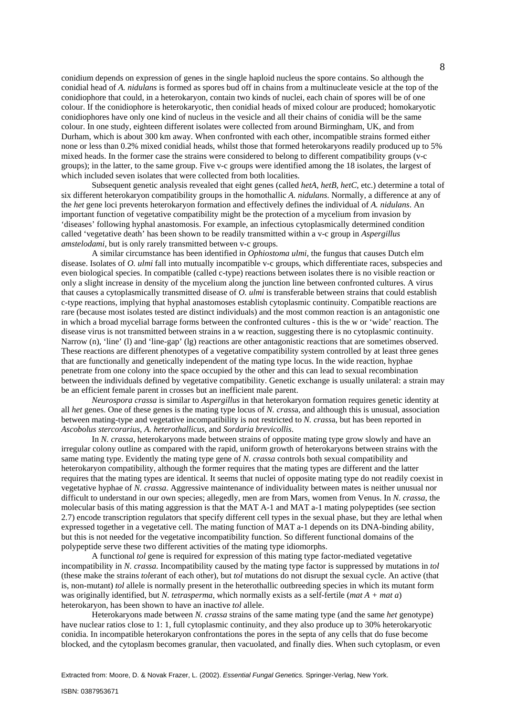conidium depends on expression of genes in the single haploid nucleus the spore contains. So although the conidial head of *A. nidulans* is formed as spores bud off in chains from a multinucleate vesicle at the top of the conidiophore that could, in a heterokaryon, contain two kinds of nuclei, each chain of spores will be of one colour. If the conidiophore is heterokaryotic, then conidial heads of mixed colour are produced; homokaryotic conidiophores have only one kind of nucleus in the vesicle and all their chains of conidia will be the same colour. In one study, eighteen different isolates were collected from around Birmingham, UK, and from Durham, which is about 300 km away. When confronted with each other, incompatible strains formed either none or less than 0.2% mixed conidial heads, whilst those that formed heterokaryons readily produced up to 5% mixed heads. In the former case the strains were considered to belong to different compatibility groups (v-c groups); in the latter, to the same group. Five v-c groups were identified among the 18 isolates, the largest of which included seven isolates that were collected from both localities.

 Subsequent genetic analysis revealed that eight genes (called *hetA*, *hetB*, *hetC*, etc.) determine a total of six different heterokaryon compatibility groups in the homothallic *A. nidulans*. Normally, a difference at any of the *het* gene loci prevents heterokaryon formation and effectively defines the individual of *A. nidulans*. An important function of vegetative compatibility might be the protection of a mycelium from invasion by 'diseases' following hyphal anastomosis. For example, an infectious cytoplasmically determined condition called 'vegetative death' has been shown to be readily transmitted within a v-c group in *Aspergillus amstelodami*, but is only rarely transmitted between v-c groups.

A similar circumstance has been identified in *Ophiostoma ulmi*, the fungus that causes Dutch elm disease. Isolates of *O. ulmi* fall into mutually incompatible v-c groups, which differentiate races, subspecies and even biological species. In compatible (called c-type) reactions between isolates there is no visible reaction or only a slight increase in density of the mycelium along the junction line between confronted cultures. A virus that causes a cytoplasmically transmitted disease of *O. ulmi* is transferable between strains that could establish c-type reactions, implying that hyphal anastomoses establish cytoplasmic continuity. Compatible reactions are rare (because most isolates tested are distinct individuals) and the most common reaction is an antagonistic one in which a broad mycelial barrage forms between the confronted cultures - this is the w or 'wide' reaction. The disease virus is not transmitted between strains in a w reaction, suggesting there is no cytoplasmic continuity. Narrow (n), 'line' (l) and 'line-gap' (lg) reactions are other antagonistic reactions that are sometimes observed. These reactions are different phenotypes of a vegetative compatibility system controlled by at least three genes that are functionally and genetically independent of the mating type locus. In the wide reaction, hyphae penetrate from one colony into the space occupied by the other and this can lead to sexual recombination between the individuals defined by vegetative compatibility. Genetic exchange is usually unilateral: a strain may be an efficient female parent in crosses but an inefficient male parent.

*Neurospora crassa* is similar to *Aspergillus* in that heterokaryon formation requires genetic identity at all *het* genes. One of these genes is the mating type locus of *N. crass*a, and although this is unusual, association between mating-type and vegetative incompatibility is not restricted to *N. crass*a, but has been reported in *Ascobolus stercorarius*, *A. heterothallicus*, and *Sordaria brevicollis*.

 In *N. crassa*, heterokaryons made between strains of opposite mating type grow slowly and have an irregular colony outline as compared with the rapid, uniform growth of heterokaryons between strains with the same mating type. Evidently the mating type gene of *N. crassa* controls both sexual compatibility and heterokaryon compatibility, although the former requires that the mating types are different and the latter requires that the mating types are identical. It seems that nuclei of opposite mating type do not readily coexist in vegetative hyphae of *N. crassa*. Aggressive maintenance of individuality between mates is neither unusual nor difficult to understand in our own species; allegedly, men are from Mars, women from Venus. In *N. crassa*, the molecular basis of this mating aggression is that the MAT A-1 and MAT a-1 mating polypeptides (see section 2.7) encode transcription regulators that specify different cell types in the sexual phase, but they are lethal when expressed together in a vegetative cell. The mating function of MAT a-1 depends on its DNA-binding ability, but this is not needed for the vegetative incompatibility function. So different functional domains of the polypeptide serve these two different activities of the mating type idiomorphs.

 A functional *tol* gene is required for expression of this mating type factor-mediated vegetative incompatibility in *N. crassa*. Incompatibility caused by the mating type factor is suppressed by mutations in *tol* (these make the strains *tol*erant of each other), but *tol* mutations do not disrupt the sexual cycle. An active (that is, non-mutant) *tol* allele is normally present in the heterothallic outbreeding species in which its mutant form was originally identified, but *N. tetrasperma*, which normally exists as a self-fertile (*mat A + mat a*) heterokaryon, has been shown to have an inactive *tol* allele.

 Heterokaryons made between *N. crassa* strains of the same mating type (and the same *het* genotype) have nuclear ratios close to 1: 1, full cytoplasmic continuity, and they also produce up to 30% heterokaryotic conidia. In incompatible heterokaryon confrontations the pores in the septa of any cells that do fuse become blocked, and the cytoplasm becomes granular, then vacuolated, and finally dies. When such cytoplasm, or even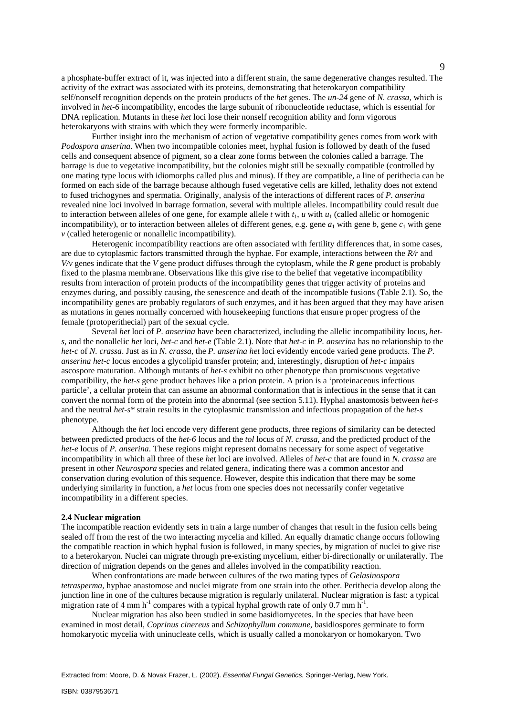a phosphate-buffer extract of it, was injected into a different strain, the same degenerative changes resulted. The activity of the extract was associated with its proteins, demonstrating that heterokaryon compatibility self/nonself recognition depends on the protein products of the *het* genes. The *un-24* gene of *N. crassa,* which is involved in *het-6* incompatibility, encodes the large subunit of ribonucleotide reductase, which is essential for DNA replication. Mutants in these *het* loci lose their nonself recognition ability and form vigorous heterokaryons with strains with which they were formerly incompatible.

 Further insight into the mechanism of action of vegetative compatibility genes comes from work with *Podospora anserina*. When two incompatible colonies meet, hyphal fusion is followed by death of the fused cells and consequent absence of pigment, so a clear zone forms between the colonies called a barrage. The barrage is due to vegetative incompatibility, but the colonies might still be sexually compatible (controlled by one mating type locus with idiomorphs called plus and minus). If they are compatible, a line of perithecia can be formed on each side of the barrage because although fused vegetative cells are killed, lethality does not extend to fused trichogynes and spermatia. Originally, analysis of the interactions of different races of *P. anserina* revealed nine loci involved in barrage formation, several with multiple alleles. Incompatibility could result due to interaction between alleles of one gene, for example allele *t* with  $t_1$ , *u* with  $u_1$  (called allelic or homogenic incompatibility), or to interaction between alleles of different genes, e.g. gene  $a_1$  with gene  $b_1$ , gene  $c_1$  with gene *v* (called heterogenic or nonallelic incompatibility).

 Heterogenic incompatibility reactions are often associated with fertility differences that, in some cases, are due to cytoplasmic factors transmitted through the hyphae. For example, interactions between the *R/r* and *V/v* genes indicate that the *V* gene product diffuses through the cytoplasm, while the *R* gene product is probably fixed to the plasma membrane. Observations like this give rise to the belief that vegetative incompatibility results from interaction of protein products of the incompatibility genes that trigger activity of proteins and enzymes during, and possibly causing, the senescence and death of the incompatible fusions (Table 2.1). So, the incompatibility genes are probably regulators of such enzymes, and it has been argued that they may have arisen as mutations in genes normally concerned with housekeeping functions that ensure proper progress of the female (protoperithecial) part of the sexual cycle.

 Several *het* loci of *P. anserina* have been characterized, including the allelic incompatibility locus, *hets*, and the nonallelic *het* loci, *het-c* and *het-e* (Table 2.1). Note that *het-c* in *P. anserin*a has no relationship to the *het-c* of *N. crassa*. Just as in *N. crassa*, the *P. anserina het* loci evidently encode varied gene products. The *P. anserina het-c* locus encodes a glycolipid transfer protein; and, interestingly, disruption of *het-c* impairs ascospore maturation. Although mutants of *het-s* exhibit no other phenotype than promiscuous vegetative compatibility, the *het-s* gene product behaves like a prion protein. A prion is a 'proteinaceous infectious particle', a cellular protein that can assume an abnormal conformation that is infectious in the sense that it can convert the normal form of the protein into the abnormal (see section 5.11). Hyphal anastomosis between *het-s*  and the neutral *het-s\** strain results in the cytoplasmic transmission and infectious propagation of the *het-s*  phenotype.

 Although the *het* loci encode very different gene products, three regions of similarity can be detected between predicted products of the *het-6* locus and the *tol* locus of *N. crassa*, and the predicted product of the *het-e* locus of *P. anserina*. These regions might represent domains necessary for some aspect of vegetative incompatibility in which all three of these *het* loci are involved. Alleles of *het-c* that are found in *N. crassa* are present in other *Neurospora* species and related genera, indicating there was a common ancestor and conservation during evolution of this sequence. However, despite this indication that there may be some underlying similarity in function, a *het* locus from one species does not necessarily confer vegetative incompatibility in a different species.

### **2.4 Nuclear migration**

The incompatible reaction evidently sets in train a large number of changes that result in the fusion cells being sealed off from the rest of the two interacting mycelia and killed. An equally dramatic change occurs following the compatible reaction in which hyphal fusion is followed, in many species, by migration of nuclei to give rise to a heterokaryon. Nuclei can migrate through pre-existing mycelium, either bi-directionally or unilaterally. The direction of migration depends on the genes and alleles involved in the compatibility reaction.

 When confrontations are made between cultures of the two mating types of *Gelasinospora tetrasperma,* hyphae anastomose and nuclei migrate from one strain into the other. Perithecia develop along the junction line in one of the cultures because migration is regularly unilateral. Nuclear migration is fast: a typical migration rate of 4 mm  $h^{-1}$  compares with a typical hyphal growth rate of only 0.7 mm  $h^{-1}$ .

 Nuclear migration has also been studied in some basidiomycetes. In the species that have been examined in most detail, *Coprinus cinereus* and *Schizophyllum commune*, basidiospores germinate to form homokaryotic mycelia with uninucleate cells, which is usually called a monokaryon or homokaryon. Two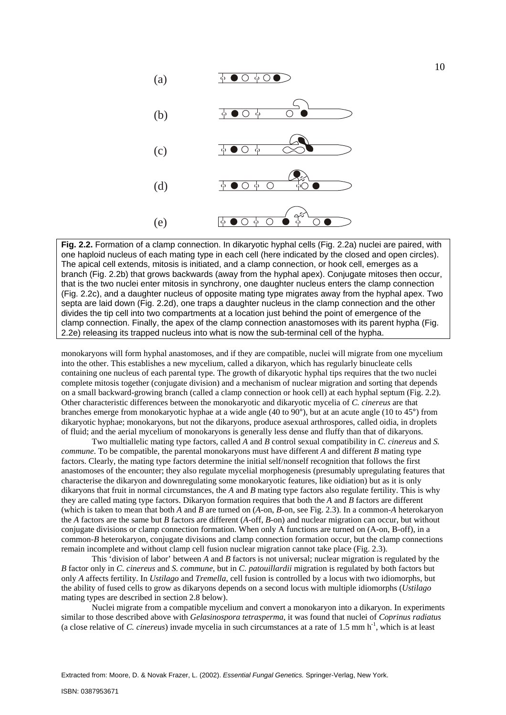(a)





(e)

**Fig. 2.2.** Formation of a clamp connection. In dikaryotic hyphal cells (Fig. 2.2a) nuclei are paired, with one haploid nucleus of each mating type in each cell (here indicated by the closed and open circles). The apical cell extends, mitosis is initiated, and a clamp connection, or hook cell, emerges as a branch (Fig. 2.2b) that grows backwards (away from the hyphal apex). Conjugate mitoses then occur, that is the two nuclei enter mitosis in synchrony, one daughter nucleus enters the clamp connection (Fig. 2.2c), and a daughter nucleus of opposite mating type migrates away from the hyphal apex. Two septa are laid down (Fig. 2.2d), one traps a daughter nucleus in the clamp connection and the other divides the tip cell into two compartments at a location just behind the point of emergence of the clamp connection. Finally, the apex of the clamp connection anastomoses with its parent hypha (Fig. 2.2e) releasing its trapped nucleus into what is now the sub-terminal cell of the hypha.

monokaryons will form hyphal anastomoses, and if they are compatible, nuclei will migrate from one mycelium into the other. This establishes a new mycelium, called a dikaryon, which has regularly binucleate cells containing one nucleus of each parental type. The growth of dikaryotic hyphal tips requires that the two nuclei complete mitosis together (conjugate division) and a mechanism of nuclear migration and sorting that depends on a small backward-growing branch (called a clamp connection or hook cell) at each hyphal septum (Fig. 2.2). Other characteristic differences between the monokaryotic and dikaryotic mycelia of *C. cinereus* are that branches emerge from monokaryotic hyphae at a wide angle (40 to 90°), but at an acute angle (10 to 45°) from dikaryotic hyphae; monokaryons, but not the dikaryons, produce asexual arthrospores, called oidia, in droplets of fluid; and the aerial mycelium of monokaryons is generally less dense and fluffy than that of dikaryons.

 Two multiallelic mating type factors, called *A* and *B* control sexual compatibility in *C. cinereus* and *S. commune*. To be compatible, the parental monokaryons must have different *A* and different *B* mating type factors. Clearly, the mating type factors determine the initial self/nonself recognition that follows the first anastomoses of the encounter; they also regulate mycelial morphogenesis (presumably upregulating features that characterise the dikaryon and downregulating some monokaryotic features, like oidiation) but as it is only dikaryons that fruit in normal circumstances, the *A* and *B* mating type factors also regulate fertility. This is why they are called mating type factors. Dikaryon formation requires that both the *A* and *B* factors are different (which is taken to mean that both *A* and *B* are turned on (*A*-on, *B*-on, see Fig. 2.3). In a common-*A* heterokaryon the *A* factors are the same but *B* factors are different (*A*-off, *B*-on) and nuclear migration can occur, but without conjugate divisions or clamp connection formation. When only A functions are turned on (A-on, B-off), in a common-*B* heterokaryon, conjugate divisions and clamp connection formation occur, but the clamp connections remain incomplete and without clamp cell fusion nuclear migration cannot take place (Fig. 2.3).

 This 'division of labor' between *A* and *B* factors is not universal; nuclear migration is regulated by the *B* factor only in *C. cinereus* and *S. commune*, but in *C. patouillardii* migration is regulated by both factors but only *A* affects fertility. In *Ustilago* and *Tremella*, cell fusion is controlled by a locus with two idiomorphs, but the ability of fused cells to grow as dikaryons depends on a second locus with multiple idiomorphs (*Ustilago* mating types are described in section 2.8 below).

 Nuclei migrate from a compatible mycelium and convert a monokaryon into a dikaryon. In experiments similar to those described above with *Gelasinospora tetrasperma*, it was found that nuclei of *Coprinus radiatus* (a close relative of *C. cinereus*) invade mycelia in such circumstances at a rate of 1.5 mm h-1, which is at least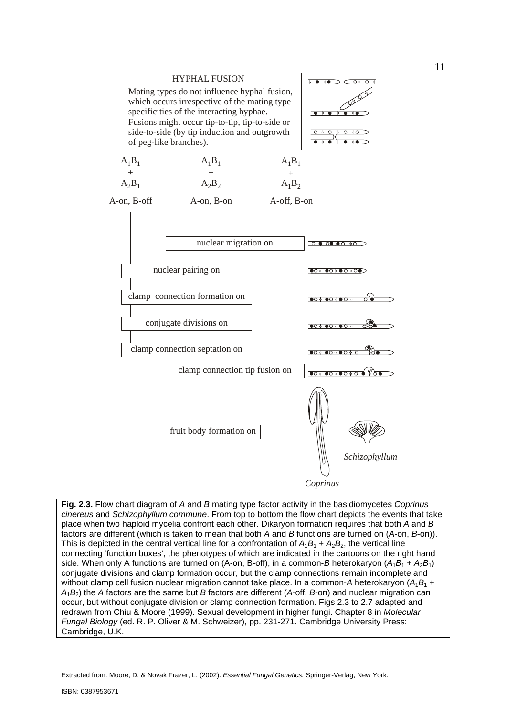

**Fig. 2.3.** Flow chart diagram of *A* and *B* mating type factor activity in the basidiomycetes *Coprinus cinereus* and *Schizophyllum commune*. From top to bottom the flow chart depicts the events that take place when two haploid mycelia confront each other. Dikaryon formation requires that both *A* and *B* factors are different (which is taken to mean that both *A* and *B* functions are turned on (*A*-on, *B*-on)). This is depicted in the central vertical line for a confrontation of  $A_1B_1 + A_2B_2$ , the vertical line connecting 'function boxes', the phenotypes of which are indicated in the cartoons on the right hand side. When only A functions are turned on (A-on, B-off), in a common-*B* heterokaryon  $(A_1B_1 + A_2B_1)$ conjugate divisions and clamp formation occur, but the clamp connections remain incomplete and without clamp cell fusion nuclear migration cannot take place. In a common-A heterokaryon (A<sub>1</sub>B<sub>1</sub> + *A*1*B*2) the *A* factors are the same but *B* factors are different (*A*-off, *B*-on) and nuclear migration can occur, but without conjugate division or clamp connection formation. Figs 2.3 to 2.7 adapted and redrawn from Chiu & Moore (1999). Sexual development in higher fungi. Chapter 8 in *Molecular Fungal Biology* (ed. R. P. Oliver & M. Schweizer), pp. 231-271. Cambridge University Press: Cambridge, U.K.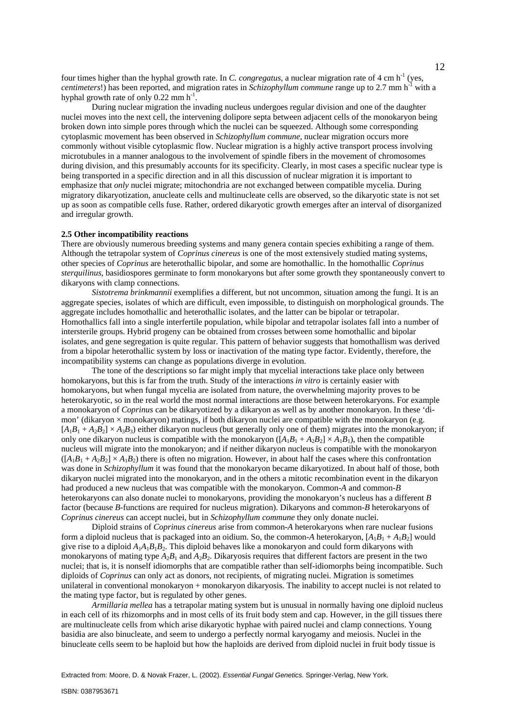four times higher than the hyphal growth rate. In *C. congregatus*, a nuclear migration rate of 4 cm h-1 (yes, *centimeters*!) has been reported, and migration rates in *Schizophyllum commune* range up to 2.7 mm h-1 with a hyphal growth rate of only  $0.22$  mm h<sup>-1</sup>.

 During nuclear migration the invading nucleus undergoes regular division and one of the daughter nuclei moves into the next cell, the intervening dolipore septa between adjacent cells of the monokaryon being broken down into simple pores through which the nuclei can be squeezed. Although some corresponding cytoplasmic movement has been observed in *Schizophyllum commune*, nuclear migration occurs more commonly without visible cytoplasmic flow. Nuclear migration is a highly active transport process involving microtubules in a manner analogous to the involvement of spindle fibers in the movement of chromosomes during division, and this presumably accounts for its specificity. Clearly, in most cases a specific nuclear type is being transported in a specific direction and in all this discussion of nuclear migration it is important to emphasize that *only* nuclei migrate; mitochondria are not exchanged between compatible mycelia. During migratory dikaryotization, anucleate cells and multinucleate cells are observed, so the dikaryotic state is not set up as soon as compatible cells fuse. Rather, ordered dikaryotic growth emerges after an interval of disorganized and irregular growth.

## **2.5 Other incompatibility reactions**

There are obviously numerous breeding systems and many genera contain species exhibiting a range of them. Although the tetrapolar system of *Coprinus cinereus* is one of the most extensively studied mating systems, other species of *Coprinus* are heterothallic bipolar, and some are homothallic. In the homothallic *Coprinus sterquilinus*, basidiospores germinate to form monokaryons but after some growth they spontaneously convert to dikaryons with clamp connections.

*Sistotrema brinkmannii* exemplifies a different, but not uncommon, situation among the fungi. It is an aggregate species, isolates of which are difficult, even impossible, to distinguish on morphological grounds. The aggregate includes homothallic and heterothallic isolates, and the latter can be bipolar or tetrapolar. Homothallics fall into a single interfertile population, while bipolar and tetrapolar isolates fall into a number of intersterile groups. Hybrid progeny can be obtained from crosses between some homothallic and bipolar isolates, and gene segregation is quite regular. This pattern of behavior suggests that homothallism was derived from a bipolar heterothallic system by loss or inactivation of the mating type factor. Evidently, therefore, the incompatibility systems can change as populations diverge in evolution.

 The tone of the descriptions so far might imply that mycelial interactions take place only between homokaryons, but this is far from the truth. Study of the interactions *in vitro* is certainly easier with homokaryons, but when fungal mycelia are isolated from nature, the overwhelming majority proves to be heterokaryotic, so in the real world the most normal interactions are those between heterokaryons. For example a monokaryon of *Coprinus* can be dikaryotized by a dikaryon as well as by another monokaryon. In these 'dimon' (dikaryon  $\times$  monokaryon) matings, if both dikaryon nuclei are compatible with the monokaryon (e.g.  $[A_1B_1 + A_2B_2] \times A_3B_3$  either dikaryon nucleus (but generally only one of them) migrates into the monokaryon; if only one dikaryon nucleus is compatible with the monokaryon  $([A_1B_1 + A_2B_2] \times A_1B_1)$ , then the compatible nucleus will migrate into the monokaryon; and if neither dikaryon nucleus is compatible with the monokaryon  $([A_1B_1 + A_2B_2] \times A_1B_2)$  there is often no migration. However, in about half the cases where this confrontation was done in *Schizophyllum* it was found that the monokaryon became dikaryotized. In about half of those, both dikaryon nuclei migrated into the monokaryon, and in the others a mitotic recombination event in the dikaryon had produced a new nucleus that was compatible with the monokaryon. Common-*A* and common-*B* heterokaryons can also donate nuclei to monokaryons, providing the monokaryon's nucleus has a different *B* factor (because *B*-functions are required for nucleus migration). Dikaryons and common-*B* heterokaryons of *Coprinus cinereus* can accept nuclei, but in *Schizophyllum commune* they only donate nuclei.

 Diploid strains of *Coprinus cinereus* arise from common-*A* heterokaryons when rare nuclear fusions form a diploid nucleus that is packaged into an oidium. So, the common-A heterokaryon,  $[A_1B_1 + A_1B_2]$  would give rise to a diploid  $A_1A_1B_1B_2$ . This diploid behaves like a monokaryon and could form dikaryons with monokaryons of mating type  $A_2B_1$  and  $A_2B_2$ . Dikaryosis requires that different factors are present in the two nuclei; that is, it is nonself idiomorphs that are compatible rather than self-idiomorphs being incompatible. Such diploids of *Coprinus* can only act as donors, not recipients, of migrating nuclei. Migration is sometimes unilateral in conventional monokaryon + monokaryon dikaryosis. The inability to accept nuclei is not related to the mating type factor, but is regulated by other genes.

*Armillaria mellea* has a tetrapolar mating system but is unusual in normally having one diploid nucleus in each cell of its rhizomorphs and in most cells of its fruit body stem and cap. However, in the gill tissues there are multinucleate cells from which arise dikaryotic hyphae with paired nuclei and clamp connections. Young basidia are also binucleate, and seem to undergo a perfectly normal karyogamy and meiosis. Nuclei in the binucleate cells seem to be haploid but how the haploids are derived from diploid nuclei in fruit body tissue is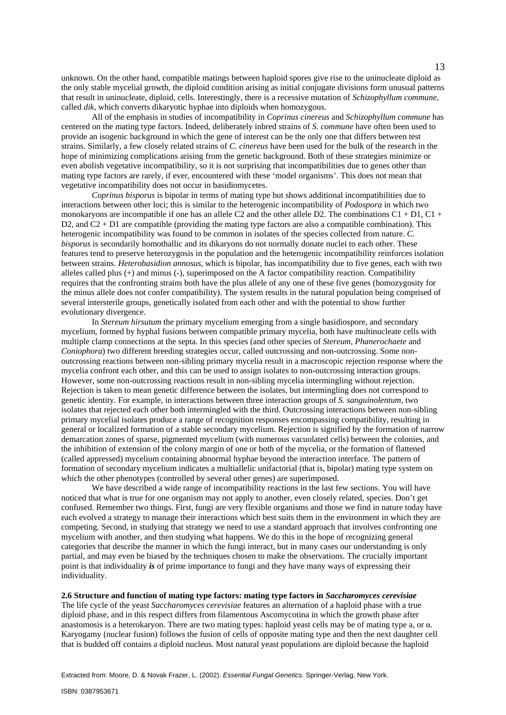unknown. On the other hand, compatible matings between haploid spores give rise to the uninucleate diploid as the only stable mycelial growth, the diploid condition arising as initial conjugate divisions form unusual patterns that result in uninucleate, diploid, cells. Interestingly, there is a recessive mutation of *Schizophyllum commune*, called *dik*, which converts dikaryotic hyphae into diploids when homozygous.

 All of the emphasis in studies of incompatibility in *Coprinus cinereus* and *Schizophyllum commune* has centered on the mating type factors. Indeed, deliberately inbred strains of *S. commune* have often been used to provide an isogenic background in which the gene of interest can be the only one that differs between test strains. Similarly, a few closely related strains of *C. cinereus* have been used for the bulk of the research in the hope of minimizing complications arising from the genetic background. Both of these strategies minimize or even abolish vegetative incompatibility, so it is not surprising that incompatibilities due to genes other than mating type factors are rarely, if ever, encountered with these 'model organisms'. This does not mean that vegetative incompatibility does not occur in basidiomycetes.

 *Coprinus bisporus* is bipolar in terms of mating type but shows additional incompatibilities due to interactions between other loci; this is similar to the heterogenic incompatibility of *Podospora* in which two monokaryons are incompatible if one has an allele C2 and the other allele D2. The combinations C1 + D1, C1 + D2, and  $C2 + D1$  are compatible (providing the mating type factors are also a compatible combination). This heterogenic incompatibility was found to be common in isolates of the species collected from nature. *C. bisporus* is secondarily homothallic and its dikaryons do not normally donate nuclei to each other. These features tend to preserve heterozygosis in the population and the heterogenic incompatibility reinforces isolation between strains. *Heterobasidion annosus*, which is bipolar, has incompatibility due to five genes, each with two alleles called plus (+) and minus (-), superimposed on the A factor compatibility reaction. Compatibility requires that the confronting strains both have the plus allele of any one of these five genes (homozygosity for the minus allele does not confer compatibility). The system results in the natural population being comprised of several intersterile groups, genetically isolated from each other and with the potential to show further evolutionary divergence.

 In *Stereum hirsutum* the primary mycelium emerging from a single basidiospore, and secondary mycelium, formed by hyphal fusions between compatible primary mycelia, both have multinucleate cells with multiple clamp connections at the septa. In this species (and other species of *Stereum*, *Phanerochaete* and *Coniophora*) two different breeding strategies occur, called outcrossing and non-outcrossing. Some nonoutcrossing reactions between non-sibling primary mycelia result in a macroscopic rejection response where the mycelia confront each other, and this can be used to assign isolates to non-outcrossing interaction groups. However, some non-outcrossing reactions result in non-sibling mycelia intermingling without rejection. Rejection is taken to mean genetic difference between the isolates, but intermingling does not correspond to genetic identity. For example, in interactions between three interaction groups of *S. sanguinolentum*, two isolates that rejected each other both intermingled with the third. Outcrossing interactions between non-sibling primary mycelial isolates produce a range of recognition responses encompassing compatibility, resulting in general or localized formation of a stable secondary mycelium. Rejection is signified by the formation of narrow demarcation zones of sparse, pigmented mycelium (with numerous vacuolated cells) between the colonies, and the inhibition of extension of the colony margin of one or both of the mycelia, or the formation of flattened (called appressed) mycelium containing abnormal hyphae beyond the interaction interface. The pattern of formation of secondary mycelium indicates a multiallelic unifactorial (that is, bipolar) mating type system on which the other phenotypes (controlled by several other genes) are superimposed.

We have described a wide range of incompatibility reactions in the last few sections. You will have noticed that what is true for one organism may not apply to another, even closely related, species. Don't get confused. Remember two things. First, fungi are very flexible organisms and those we find in nature today have each evolved a strategy to manage their interactions which best suits them in the environment in which they are competing. Second, in studying that strategy we need to use a standard approach that involves confronting one mycelium with another, and then studying what happens. We do this in the hope of recognizing general categories that describe the manner in which the fungi interact, but in many cases our understanding is only partial, and may even be biased by the techniques chosen to make the observations. The crucially important point is that individuality *is* of prime importance to fungi and they have many ways of expressing their individuality.

**2.6 Structure and function of mating type factors: mating type factors in** *Saccharomyces cerevisiae*

The life cycle of the yeast *Saccharomyces cerevisiae* features an alternation of a haploid phase with a true diploid phase, and in this respect differs from filamentous Ascomycotina in which the growth phase after anastomosis is a heterokaryon. There are two mating types: haploid yeast cells may be of mating type a, or  $\alpha$ . Karyogamy (nuclear fusion) follows the fusion of cells of opposite mating type and then the next daughter cell that is budded off contains a diploid nucleus. Most natural yeast populations are diploid because the haploid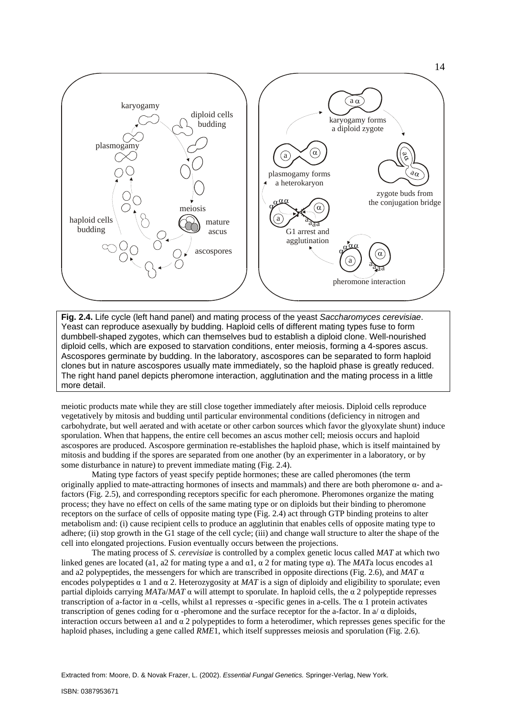

**Fig. 2.4.** Life cycle (left hand panel) and mating process of the yeast *Saccharomyces cerevisiae*. Yeast can reproduce asexually by budding. Haploid cells of different mating types fuse to form dumbbell-shaped zygotes, which can themselves bud to establish a diploid clone. Well-nourished diploid cells, which are exposed to starvation conditions, enter meiosis, forming a 4-spores ascus. Ascospores germinate by budding. In the laboratory, ascospores can be separated to form haploid clones but in nature ascospores usually mate immediately, so the haploid phase is greatly reduced. The right hand panel depicts pheromone interaction, agglutination and the mating process in a little more detail.

meiotic products mate while they are still close together immediately after meiosis. Diploid cells reproduce vegetatively by mitosis and budding until particular environmental conditions (deficiency in nitrogen and carbohydrate, but well aerated and with acetate or other carbon sources which favor the glyoxylate shunt) induce sporulation. When that happens, the entire cell becomes an ascus mother cell; meiosis occurs and haploid ascospores are produced. Ascospore germination re-establishes the haploid phase, which is itself maintained by mitosis and budding if the spores are separated from one another (by an experimenter in a laboratory, or by some disturbance in nature) to prevent immediate mating (Fig. 2.4).

 Mating type factors of yeast specify peptide hormones; these are called pheromones (the term originally applied to mate-attracting hormones of insects and mammals) and there are both pheromone α- and afactors (Fig. 2.5), and corresponding receptors specific for each pheromone. Pheromones organize the mating process; they have no effect on cells of the same mating type or on diploids but their binding to pheromone receptors on the surface of cells of opposite mating type (Fig. 2.4) act through GTP binding proteins to alter metabolism and: (i) cause recipient cells to produce an agglutinin that enables cells of opposite mating type to adhere; (ii) stop growth in the G1 stage of the cell cycle; (iii) and change wall structure to alter the shape of the cell into elongated projections. Fusion eventually occurs between the projections.

 The mating process of *S. cerevisiae* is controlled by a complex genetic locus called *MAT* at which two linked genes are located (a1, a2 for mating type a and α1, α 2 for mating type α). The *MAT*a locus encodes a1 and a2 polypeptides, the messengers for which are transcribed in opposite directions (Fig. 2.6), and *MAT* α encodes polypeptides α 1 and α 2. Heterozygosity at *MAT* is a sign of diploidy and eligibility to sporulate; even partial diploids carrying  $MATa/MAT\alpha$  will attempt to sporulate. In haploid cells, the  $\alpha$  2 polypeptide represses transcription of a-factor in α -cells, whilst a1 represses α -specific genes in a-cells. The α 1 protein activates transcription of genes coding for α -pheromone and the surface receptor for the a-factor. In a/ α diploids, interaction occurs between a1 and  $\alpha$  2 polypeptides to form a heterodimer, which represses genes specific for the haploid phases, including a gene called *RME*1, which itself suppresses meiosis and sporulation (Fig. 2.6).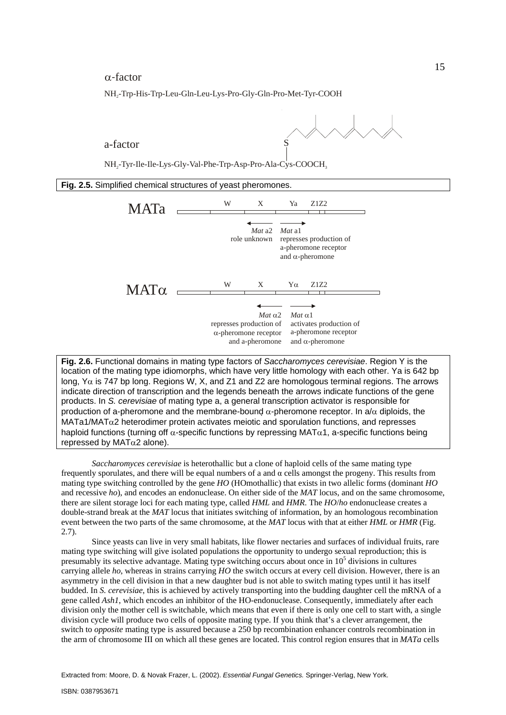# α-factor

NH<sub>2</sub>-Trp-His-Trp-Leu-Gln-Leu-Lys-Pro-Gly-Gln-Pro-Met-Tyr-COOH

a-factor



NH<sub>2</sub>-Tyr-Ile-Ile-Lys-Gly-Val-Phe-Trp-Asp-Pro-Ala-Cys-COOCH<sub>3</sub>



**Fig. 2.6.** Functional domains in mating type factors of *Saccharomyces cerevisiae*. Region Y is the location of the mating type idiomorphs, which have very little homology with each other. Ya is 642 bp long,  $Y_{\alpha}$  is 747 bp long. Regions W, X, and Z1 and Z2 are homologous terminal regions. The arrows indicate direction of transcription and the legends beneath the arrows indicate functions of the gene products. In *S. cerevisiae* of mating type a, a general transcription activator is responsible for production of a-pheromone and the membrane-bound  $α$ -pheromone receptor. In a/ $α$  diploids, the MATa1/MATα2 heterodimer protein activates meiotic and sporulation functions, and represses haploid functions (turning off  $\alpha$ -specific functions by repressing MAT $\alpha$ 1, a-specific functions being repressed by  $MAT\alpha2$  alone).

 *Saccharomyces cerevisiae* is heterothallic but a clone of haploid cells of the same mating type frequently sporulates, and there will be equal numbers of a and  $\alpha$  cells amongst the progeny. This results from mating type switching controlled by the gene *HO* (HOmothallic) that exists in two allelic forms (dominant *HO* and recessive *ho*), and encodes an endonuclease. On either side of the *MAT* locus, and on the same chromosome, there are silent storage loci for each mating type, called *HML* and *HMR*. The *HO*/*ho* endonuclease creates a double-strand break at the *MAT* locus that initiates switching of information, by an homologous recombination event between the two parts of the same chromosome, at the *MAT* locus with that at either *HML* or *HMR* (Fig. 2.7).

 Since yeasts can live in very small habitats, like flower nectaries and surfaces of individual fruits, rare mating type switching will give isolated populations the opportunity to undergo sexual reproduction; this is presumably its selective advantage. Mating type switching occurs about once in 10<sup>5</sup> divisions in cultures carrying allele *ho*, whereas in strains carrying *HO* the switch occurs at every cell division. However, there is an asymmetry in the cell division in that a new daughter bud is not able to switch mating types until it has itself budded. In *S. cerevisiae*, this is achieved by actively transporting into the budding daughter cell the mRNA of a gene called *Ash1*, which encodes an inhibitor of the HO-endonuclease. Consequently, immediately after each division only the mother cell is switchable, which means that even if there is only one cell to start with, a single division cycle will produce two cells of opposite mating type. If you think that's a clever arrangement, the switch to *opposite* mating type is assured because a 250 bp recombination enhancer controls recombination in the arm of chromosome III on which all these genes are located. This control region ensures that in *MATa* cells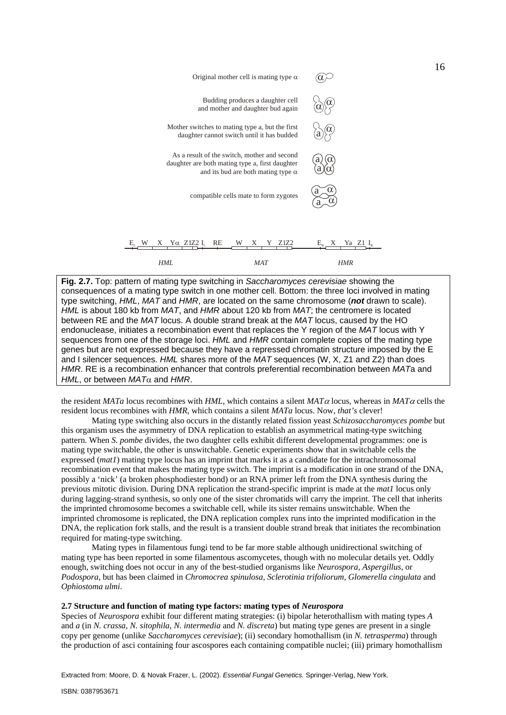

**Fig. 2.7.** Top: pattern of mating type switching in *Saccharomyces cerevisiae* showing the consequences of a mating type switch in one mother cell. Bottom: the three loci involved in mating type switching, *HML*, *MAT* and *HMR*, are located on the same chromosome (*not* drawn to scale). *HML* is about 180 kb from *MAT*, and *HMR* about 120 kb from *MAT*; the centromere is located between RE and the *MAT* locus. A double strand break at the *MAT* locus, caused by the HO endonuclease, initiates a recombination event that replaces the Y region of the *MAT* locus with Y sequences from one of the storage loci. *HML* and *HMR* contain complete copies of the mating type genes but are not expressed because they have a repressed chromatin structure imposed by the E and I silencer sequences. *HML* shares more of the *MAT* sequences (W, X, Z1 and Z2) than does *HMR*. RE is a recombination enhancer that controls preferential recombination between *MAT*a and *HML*, or between *MAT*α and *HMR*.

the resident *MATa* locus recombines with *HML*, which contains a silent *MAT*α locus, whereas in *MAT*<sup>α</sup> cells the resident locus recombines with *HMR*, which contains a silent *MATa* locus. Now, *that's* clever!

 Mating type switching also occurs in the distantly related fission yeast *Schizosaccharomyces pombe* but this organism uses the asymmetry of DNA replication to establish an asymmetrical mating-type switching pattern. When *S. pombe* divides, the two daughter cells exhibit different developmental programmes: one is mating type switchable, the other is unswitchable. Genetic experiments show that in switchable cells the expressed (*mat1*) mating type locus has an imprint that marks it as a candidate for the intrachromosomal recombination event that makes the mating type switch. The imprint is a modification in one strand of the DNA, possibly a 'nick' (a broken phosphodiester bond) or an RNA primer left from the DNA synthesis during the previous mitotic division. During DNA replication the strand-specific imprint is made at the *mat1* locus only during lagging-strand synthesis, so only one of the sister chromatids will carry the imprint. The cell that inherits the imprinted chromosome becomes a switchable cell, while its sister remains unswitchable. When the imprinted chromosome is replicated, the DNA replication complex runs into the imprinted modification in the DNA, the replication fork stalls, and the result is a transient double strand break that initiates the recombination required for mating-type switching.

 Mating types in filamentous fungi tend to be far more stable although unidirectional switching of mating type has been reported in some filamentous ascomycetes, though with no molecular details yet. Oddly enough, switching does not occur in any of the best-studied organisms like *Neurospora*, *Aspergillus*, or *Podospora*, but has been claimed in *Chromocrea spinulosa, Sclerotinia trifoliorum, Glomerella cingulata* and *Ophiostoma ulmi*.

#### **2.7 Structure and function of mating type factors: mating types of** *Neurospora*

Species of *Neurospora* exhibit four different mating strategies: (i) bipolar heterothallism with mating types *A* and *a* (in *N. crassa*, *N. sitophila*, *N. intermedia* and *N. discreta*) but mating type genes are present in a single copy per genome (unlike *Saccharomyces cerevisiae*); (ii) secondary homothallism (in *N. tetrasperma*) through the production of asci containing four ascospores each containing compatible nuclei; (iii) primary homothallism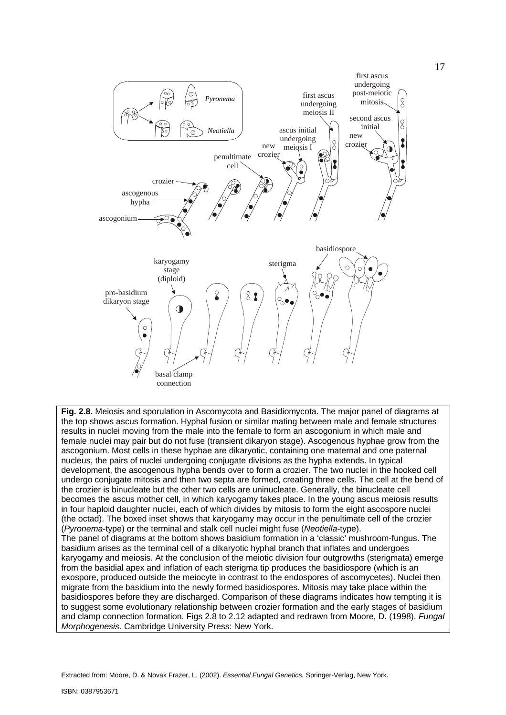

**Fig. 2.8.** Meiosis and sporulation in Ascomycota and Basidiomycota. The major panel of diagrams at the top shows ascus formation. Hyphal fusion or similar mating between male and female structures results in nuclei moving from the male into the female to form an ascogonium in which male and female nuclei may pair but do not fuse (transient dikaryon stage). Ascogenous hyphae grow from the ascogonium. Most cells in these hyphae are dikaryotic, containing one maternal and one paternal nucleus, the pairs of nuclei undergoing conjugate divisions as the hypha extends. In typical development, the ascogenous hypha bends over to form a crozier. The two nuclei in the hooked cell undergo conjugate mitosis and then two septa are formed, creating three cells. The cell at the bend of the crozier is binucleate but the other two cells are uninucleate. Generally, the binucleate cell becomes the ascus mother cell, in which karyogamy takes place. In the young ascus meiosis results in four haploid daughter nuclei, each of which divides by mitosis to form the eight ascospore nuclei (the octad). The boxed inset shows that karyogamy may occur in the penultimate cell of the crozier (*Pyronema*-type) or the terminal and stalk cell nuclei might fuse (*Neotiella*-type). The panel of diagrams at the bottom shows basidium formation in a 'classic' mushroom-fungus. The basidium arises as the terminal cell of a dikaryotic hyphal branch that inflates and undergoes karyogamy and meiosis. At the conclusion of the meiotic division four outgrowths (sterigmata) emerge from the basidial apex and inflation of each sterigma tip produces the basidiospore (which is an exospore, produced outside the meiocyte in contrast to the endospores of ascomycetes). Nuclei then migrate from the basidium into the newly formed basidiospores. Mitosis may take place within the basidiospores before they are discharged. Comparison of these diagrams indicates how tempting it is to suggest some evolutionary relationship between crozier formation and the early stages of basidium and clamp connection formation. Figs 2.8 to 2.12 adapted and redrawn from Moore, D. (1998). *Fungal Morphogenesis*. Cambridge University Press: New York.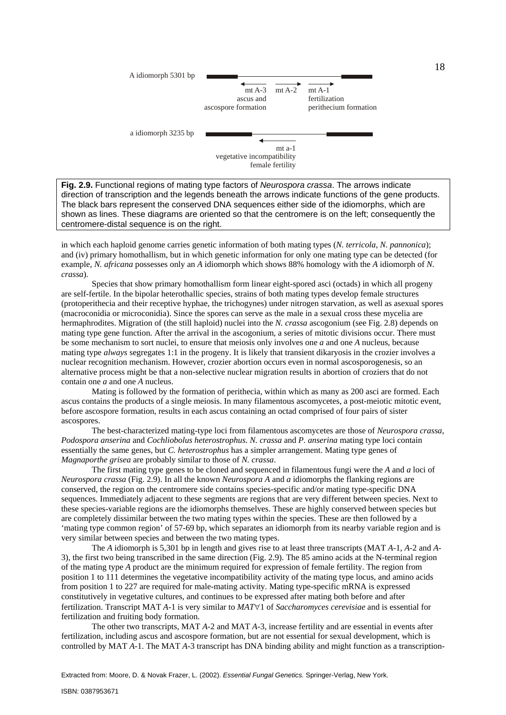

**Fig. 2.9.** Functional regions of mating type factors of *Neurospora crassa*. The arrows indicate direction of transcription and the legends beneath the arrows indicate functions of the gene products. The black bars represent the conserved DNA sequences either side of the idiomorphs, which are shown as lines. These diagrams are oriented so that the centromere is on the left; consequently the centromere-distal sequence is on the right.

in which each haploid genome carries genetic information of both mating types (*N. terricola*, *N. pannonica*); and (iv) primary homothallism, but in which genetic information for only one mating type can be detected (for example, *N. africana* possesses only an *A* idiomorph which shows 88% homology with the *A* idiomorph of *N. crassa*).

 Species that show primary homothallism form linear eight-spored asci (octads) in which all progeny are self-fertile. In the bipolar heterothallic species, strains of both mating types develop female structures (protoperithecia and their receptive hyphae, the trichogynes) under nitrogen starvation, as well as asexual spores (macroconidia or microconidia). Since the spores can serve as the male in a sexual cross these mycelia are hermaphrodites. Migration of (the still haploid) nuclei into the *N. crassa* ascogonium (see Fig. 2.8) depends on mating type gene function. After the arrival in the ascogonium, a series of mitotic divisions occur. There must be some mechanism to sort nuclei, to ensure that meiosis only involves one *a* and one *A* nucleus, because mating type *always* segregates 1:1 in the progeny. It is likely that transient dikaryosis in the crozier involves a nuclear recognition mechanism. However, crozier abortion occurs even in normal ascosporogenesis, so an alternative process might be that a non-selective nuclear migration results in abortion of croziers that do not contain one *a* and one *A* nucleus.

 Mating is followed by the formation of perithecia, within which as many as 200 asci are formed. Each ascus contains the products of a single meiosis. In many filamentous ascomycetes, a post-meiotic mitotic event, before ascospore formation, results in each ascus containing an octad comprised of four pairs of sister ascospores.

 The best-characterized mating-type loci from filamentous ascomycetes are those of *Neurospora crassa, Podospora anserina* and *Cochliobolus heterostrophus*. *N. crassa* and *P. anserina* mating type loci contain essentially the same genes, but *C. heterostrophus* has a simpler arrangement. Mating type genes of *Magnaporthe grisea* are probably similar to those of *N. crassa*.

 The first mating type genes to be cloned and sequenced in filamentous fungi were the *A* and *a* loci of *Neurospora crassa* (Fig. 2.9). In all the known *Neurospora A* and *a* idiomorphs the flanking regions are conserved, the region on the centromere side contains species-specific and/or mating type-specific DNA sequences. Immediately adjacent to these segments are regions that are very different between species. Next to these species-variable regions are the idiomorphs themselves. These are highly conserved between species but are completely dissimilar between the two mating types within the species. These are then followed by a 'mating type common region' of 57-69 bp, which separates an idiomorph from its nearby variable region and is very similar between species and between the two mating types.

 The *A* idiomorph is 5,301 bp in length and gives rise to at least three transcripts (MAT *A*-1, *A*-2 and *A*-3), the first two being transcribed in the same direction (Fig. 2.9). The 85 amino acids at the N-terminal region of the mating type *A* product are the minimum required for expression of female fertility. The region from position 1 to 111 determines the vegetative incompatibility activity of the mating type locus, and amino acids from position 1 to 227 are required for male-mating activity. Mating type-specific mRNA is expressed constitutively in vegetative cultures, and continues to be expressed after mating both before and after fertilization. Transcript MAT *A*-1 is very similar to *MAT*∀1 of *Saccharomyces cerevisiae* and is essential for fertilization and fruiting body formation.

 The other two transcripts, MAT *A*-2 and MAT *A*-3, increase fertility and are essential in events after fertilization, including ascus and ascospore formation, but are not essential for sexual development, which is controlled by MAT *A*-1. The MAT *A*-3 transcript has DNA binding ability and might function as a transcription-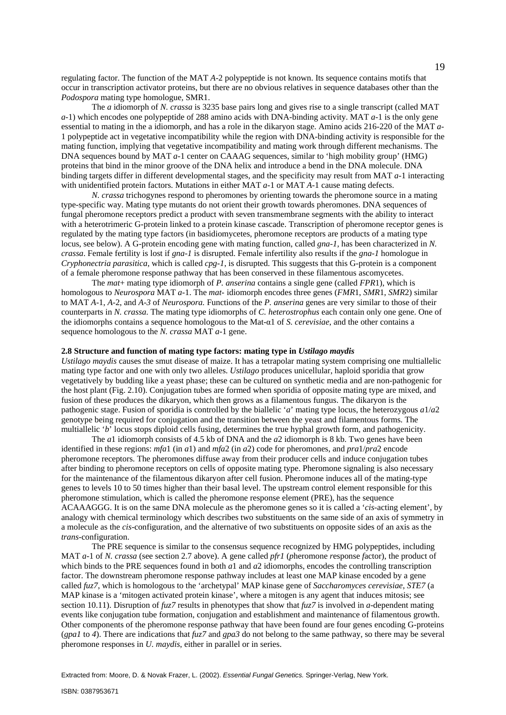regulating factor. The function of the MAT *A*-2 polypeptide is not known. Its sequence contains motifs that occur in transcription activator proteins, but there are no obvious relatives in sequence databases other than the *Podospora* mating type homologue*,* SMR1.

 The *a* idiomorph of *N. crassa* is 3235 base pairs long and gives rise to a single transcript (called MAT *a*-1) which encodes one polypeptide of 288 amino acids with DNA-binding activity. MAT *a*-1 is the only gene essential to mating in the a idiomorph, and has a role in the dikaryon stage. Amino acids 216-220 of the MAT *a*-1 polypeptide act in vegetative incompatibility while the region with DNA-binding activity is responsible for the mating function, implying that vegetative incompatibility and mating work through different mechanisms. The DNA sequences bound by MAT *a*-1 center on CAAAG sequences, similar to 'high mobility group' (HMG) proteins that bind in the minor groove of the DNA helix and introduce a bend in the DNA molecule. DNA binding targets differ in different developmental stages, and the specificity may result from MAT *a*-1 interacting with unidentified protein factors. Mutations in either MAT *a*-1 or MAT *A*-1 cause mating defects.

 *N. crassa* trichogynes respond to pheromones by orienting towards the pheromone source in a mating type-specific way. Mating type mutants do not orient their growth towards pheromones. DNA sequences of fungal pheromone receptors predict a product with seven transmembrane segments with the ability to interact with a heterotrimeric G-protein linked to a protein kinase cascade. Transcription of pheromone receptor genes is regulated by the mating type factors (in basidiomycetes, pheromone receptors are products of a mating type locus, see below). A G-protein encoding gene with mating function, called *gna-1*, has been characterized in *N*. *crassa*. Female fertility is lost if *gna-1* is disrupted. Female infertility also results if the *gna-1* homologue in *Cryphonectria parasitica*, which is called *cpg-1*, is disrupted. This suggests that this G-protein is a component of a female pheromone response pathway that has been conserved in these filamentous ascomycetes.

 The *mat*+ mating type idiomorph of *P. anserina* contains a single gene (called *FPR*1), which is homologous to *Neurospora* MAT *a-*1. The *mat*- idiomorph encodes three genes (*FMR*1, *SMR*1, *SMR*2) similar to MAT *A-*1, *A-*2, and *A-3* of *Neurospora.* Functions of the *P. anserina* genes are very similar to those of their counterparts in *N. crassa*. The mating type idiomorphs of *C. heterostrophus* each contain only one gene. One of the idiomorphs contains a sequence homologous to the Mat-α1 of *S. cerevisiae*, and the other contains a sequence homologous to the *N. crassa* MAT *a*-1 gene.

## **2.8 Structure and function of mating type factors: mating type in** *Ustilago maydis*

*Ustilago maydis* causes the smut disease of maize. It has a tetrapolar mating system comprising one multiallelic mating type factor and one with only two alleles. *Ustilago* produces unicellular, haploid sporidia that grow vegetatively by budding like a yeast phase; these can be cultured on synthetic media and are non-pathogenic for the host plant (Fig. 2.10). Conjugation tubes are formed when sporidia of opposite mating type are mixed, and fusion of these produces the dikaryon, which then grows as a filamentous fungus. The dikaryon is the pathogenic stage. Fusion of sporidia is controlled by the biallelic '*a*' mating type locus, the heterozygous *a*1/*a*2 genotype being required for conjugation and the transition between the yeast and filamentous forms. The multiallelic '*b*' locus stops diploid cells fusing, determines the true hyphal growth form, and pathogenicity.

 The *a*1 idiomorph consists of 4.5 kb of DNA and the *a*2 idiomorph is 8 kb. Two genes have been identified in these regions: *mfa*1 (in *a*1) and *mfa*2 (in *a*2) code for pheromones, and *pra*1/*pra*2 encode pheromone receptors. The pheromones diffuse away from their producer cells and induce conjugation tubes after binding to pheromone receptors on cells of opposite mating type. Pheromone signaling is also necessary for the maintenance of the filamentous dikaryon after cell fusion. Pheromone induces all of the mating-type genes to levels 10 to 50 times higher than their basal level. The upstream control element responsible for this pheromone stimulation, which is called the pheromone response element (PRE), has the sequence ACAAAGGG. It is on the same DNA molecule as the pheromone genes so it is called a '*cis*-acting element', by analogy with chemical terminology which describes two substituents on the same side of an axis of symmetry in a molecule as the *cis*-configuration, and the alternative of two substituents on opposite sides of an axis as the *trans*-configuration.

 The PRE sequence is similar to the consensus sequence recognized by HMG polypeptides, including MAT *a*-1 of *N. crassa* (see section 2.7 above). A gene called *pfr1* (*p*heromone *r*esponse *f*actor), the product of which binds to the PRE sequences found in both *a*1 and *a*2 idiomorphs, encodes the controlling transcription factor. The downstream pheromone response pathway includes at least one MAP kinase encoded by a gene called *fuz7*, which is homologous to the 'archetypal' MAP kinase gene of *Saccharomyces cerevisiae*, *STE7* (a MAP kinase is a 'mitogen activated protein kinase', where a mitogen is any agent that induces mitosis; see section 10.11). Disruption of *fuz7* results in phenotypes that show that *fuz7* is involved in *a*-dependent mating events like conjugation tube formation, conjugation and establishment and maintenance of filamentous growth. Other components of the pheromone response pathway that have been found are four genes encoding G-proteins (*gpa1* to *4*). There are indications that *fuz7* and *gpa3* do not belong to the same pathway, so there may be several pheromone responses in *U. maydis*, either in parallel or in series.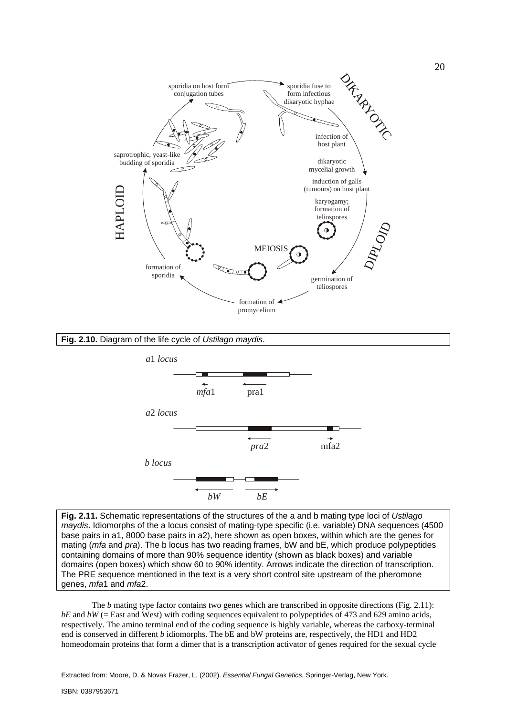

**Fig. 2.10.** Diagram of the life cycle of *Ustilago maydis*.



**Fig. 2.11.** Schematic representations of the structures of the a and b mating type loci of *Ustilago maydis*. Idiomorphs of the a locus consist of mating-type specific (i.e. variable) DNA sequences (4500 base pairs in a1, 8000 base pairs in a2), here shown as open boxes, within which are the genes for mating (*mfa* and *pra*). The b locus has two reading frames, bW and bE, which produce polypeptides containing domains of more than 90% sequence identity (shown as black boxes) and variable domains (open boxes) which show 60 to 90% identity. Arrows indicate the direction of transcription. The PRE sequence mentioned in the text is a very short control site upstream of the pheromone genes, *mfa*1 and *mfa*2.

The *b* mating type factor contains two genes which are transcribed in opposite directions (Fig. 2.11): *bE* and *bW* (= East and West) with coding sequences equivalent to polypeptides of 473 and 629 amino acids, respectively. The amino terminal end of the coding sequence is highly variable, whereas the carboxy-terminal end is conserved in different *b* idiomorphs. The bE and bW proteins are, respectively, the HD1 and HD2 homeodomain proteins that form a dimer that is a transcription activator of genes required for the sexual cycle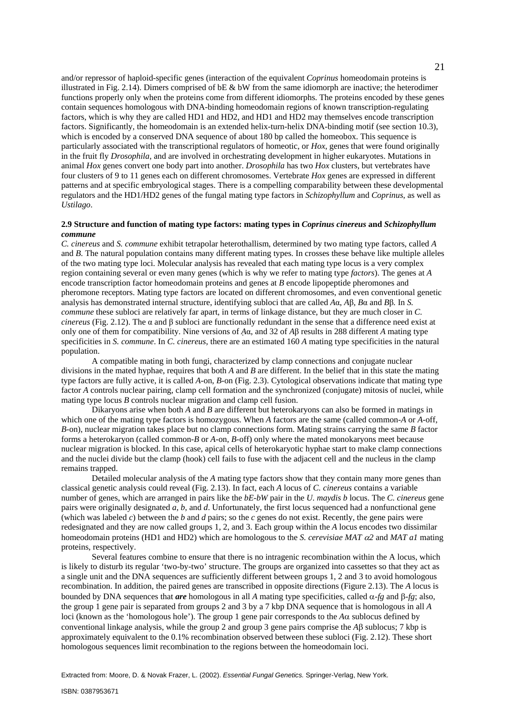and/or repressor of haploid-specific genes (interaction of the equivalent *Coprinus* homeodomain proteins is illustrated in Fig. 2.14). Dimers comprised of bE & bW from the same idiomorph are inactive; the heterodimer functions properly only when the proteins come from different idiomorphs. The proteins encoded by these genes contain sequences homologous with DNA-binding homeodomain regions of known transcription-regulating factors, which is why they are called HD1 and HD2, and HD1 and HD2 may themselves encode transcription factors. Significantly, the homeodomain is an extended helix-turn-helix DNA-binding motif (see section 10.3), which is encoded by a conserved DNA sequence of about 180 bp called the homeobox. This sequence is particularly associated with the transcriptional regulators of homeotic, or *Hox*, genes that were found originally in the fruit fly *Drosophila*, and are involved in orchestrating development in higher eukaryotes. Mutations in animal *Hox* genes convert one body part into another. *Drosophila* has two *Hox* clusters, but vertebrates have four clusters of 9 to 11 genes each on different chromosomes. Vertebrate *Hox* genes are expressed in different patterns and at specific embryological stages. There is a compelling comparability between these developmental regulators and the HD1/HD2 genes of the fungal mating type factors in *Schizophyllum* and *Coprinus*, as well as *Ustilago*.

## **2.9 Structure and function of mating type factors: mating types in** *Coprinus cinereus* **and** *Schizophyllum commune*

*C. cinereus* and *S. commune* exhibit tetrapolar heterothallism, determined by two mating type factors, called *A* and *B*. The natural population contains many different mating types. In crosses these behave like multiple alleles of the two mating type loci. Molecular analysis has revealed that each mating type locus is a very complex region containing several or even many genes (which is why we refer to mating type *factors*). The genes at *A* encode transcription factor homeodomain proteins and genes at *B* encode lipopeptide pheromones and pheromone receptors. Mating type factors are located on different chromosomes, and even conventional genetic analysis has demonstrated internal structure, identifying subloci that are called *A*α, *A*β, *B*α and *B*β*.* In *S. commune* these subloci are relatively far apart, in terms of linkage distance, but they are much closer in *C. cinereus* (Fig. 2.12). The  $\alpha$  and  $\beta$  subloci are functionally redundant in the sense that a difference need exist at only one of them for compatibility. Nine versions of *A*α, and 32 of *A*β results in 288 different *A* mating type specificities in *S. commune*. In *C. cinereus*, there are an estimated 160 *A* mating type specificities in the natural population.

 A compatible mating in both fungi, characterized by clamp connections and conjugate nuclear divisions in the mated hyphae, requires that both *A* and *B* are different. In the belief that in this state the mating type factors are fully active, it is called *A*-on, *B*-on (Fig. 2.3). Cytological observations indicate that mating type factor *A* controls nuclear pairing, clamp cell formation and the synchronized (conjugate) mitosis of nuclei, while mating type locus *B* controls nuclear migration and clamp cell fusion.

 Dikaryons arise when both *A* and *B* are different but heterokaryons can also be formed in matings in which one of the mating type factors is homozygous. When *A* factors are the same (called common-*A* or *A*-off, *B*-on), nuclear migration takes place but no clamp connections form. Mating strains carrying the same *B* factor forms a heterokaryon (called common-*B* or *A*-on, *B*-off) only where the mated monokaryons meet because nuclear migration is blocked. In this case, apical cells of heterokaryotic hyphae start to make clamp connections and the nuclei divide but the clamp (hook) cell fails to fuse with the adjacent cell and the nucleus in the clamp remains trapped.

 Detailed molecular analysis of the *A* mating type factors show that they contain many more genes than classical genetic analysis could reveal (Fig. 2.13). In fact, each *A* locus of *C. cinereus* contains a variable number of genes, which are arranged in pairs like the *bE-bW* pair in the *U. maydis b* locus. The *C. cinereus* gene pairs were originally designated *a*, *b*, and *d*. Unfortunately, the first locus sequenced had a nonfunctional gene (which was labeled *c*) between the *b* and *d* pairs; so the *c* genes do not exist. Recently, the gene pairs were redesignated and they are now called groups 1, 2, and 3. Each group within the *A* locus encodes two dissimilar homeodomain proteins (HD1 and HD2) which are homologous to the *S. cerevisiae MAT* α*2* and *MAT a1* mating proteins, respectively.

 Several features combine to ensure that there is no intragenic recombination within the A locus, which is likely to disturb its regular 'two-by-two' structure. The groups are organized into cassettes so that they act as a single unit and the DNA sequences are sufficiently different between groups 1, 2 and 3 to avoid homologous recombination. In addition, the paired genes are transcribed in opposite directions (Figure 2.13). The *A* locus is bounded by DNA sequences that *are* homologous in all *A* mating type specificities, called α-*fg* and β-*fg*; also, the group 1 gene pair is separated from groups 2 and 3 by a 7 kbp DNA sequence that is homologous in all *A*  loci (known as the 'homologous hole'). The group 1 gene pair corresponds to the *A*α sublocus defined by conventional linkage analysis, while the group 2 and group 3 gene pairs comprise the *A*β sublocus; 7 kbp is approximately equivalent to the 0.1% recombination observed between these subloci (Fig. 2.12). These short homologous sequences limit recombination to the regions between the homeodomain loci.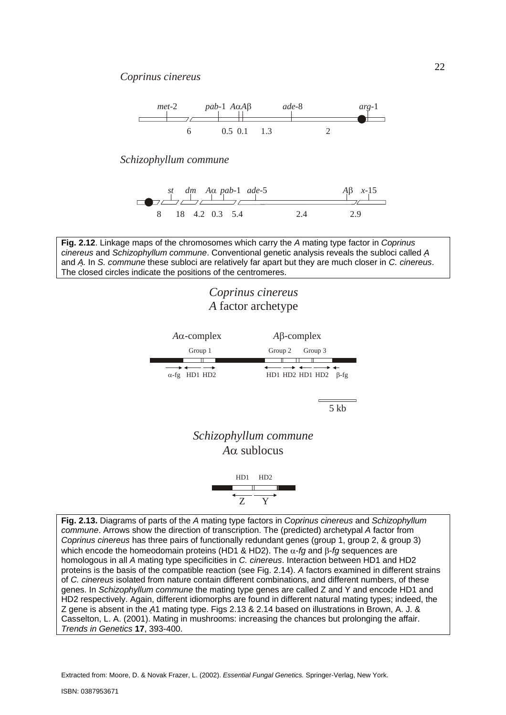

*Schizophyllum commune*



**Fig. 2.12**. Linkage maps of the chromosomes which carry the *A* mating type factor in *Coprinus cinereus* and *Schizophyllum commune*. Conventional genetic analysis reveals the subloci called *A* and *A.* In *S. commune* these subloci are relatively far apart but they are much closer in *C. cinereus*. The closed circles indicate the positions of the centromeres.





$$
H D1 H D2
$$
\n
$$
Z \rightarrow
$$

**Fig. 2.13.** Diagrams of parts of the *A* mating type factors in *Coprinus cinereus* and *Schizophyllum commune*. Arrows show the direction of transcription. The (predicted) archetypal *A* factor from *Coprinus cinereus* has three pairs of functionally redundant genes (group 1, group 2, & group 3) which encode the homeodomain proteins (HD1 & HD2). The α-*fg* and β-*fg* sequences are homologous in all *A* mating type specificities in *C. cinereus*. Interaction between HD1 and HD2 proteins is the basis of the compatible reaction (see Fig. 2.14). *A* factors examined in different strains of *C. cinereus* isolated from nature contain different combinations, and different numbers, of these genes. In *Schizophyllum commune* the mating type genes are called Z and Y and encode HD1 and HD2 respectively. Again, different idiomorphs are found in different natural mating types; indeed, the Z gene is absent in the *A*1 mating type. Figs 2.13 & 2.14 based on illustrations in Brown, A. J. & Casselton, L. A. (2001). Mating in mushrooms: increasing the chances but prolonging the affair. *Trends in Genetics* **17**, 393-400.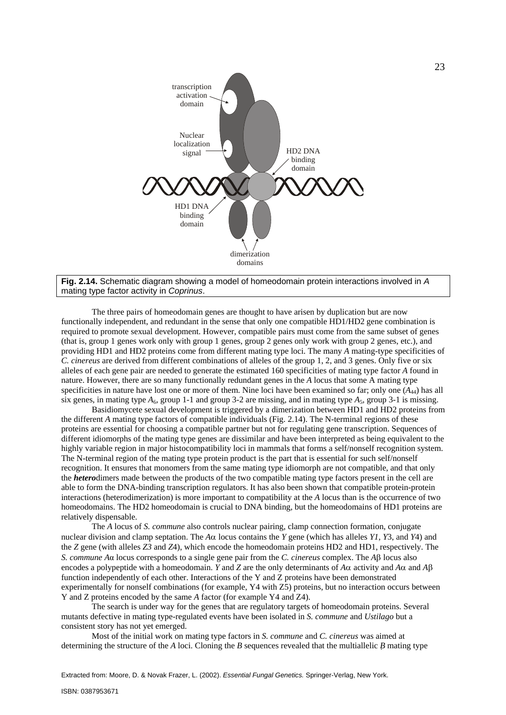

**Fig. 2.14.** Schematic diagram showing a model of homeodomain protein interactions involved in *A* mating type factor activity in *Coprinus*.

 The three pairs of homeodomain genes are thought to have arisen by duplication but are now functionally independent, and redundant in the sense that only one compatible HD1/HD2 gene combination is required to promote sexual development. However, compatible pairs must come from the same subset of genes (that is, group 1 genes work only with group 1 genes, group 2 genes only work with group 2 genes, etc.), and providing HD1 and HD2 proteins come from different mating type loci. The many *A* mating-type specificities of *C. cinereus* are derived from different combinations of alleles of the group 1, 2, and 3 genes. Only five or six alleles of each gene pair are needed to generate the estimated 160 specificities of mating type factor *A* found in nature. However, there are so many functionally redundant genes in the *A* locus that some A mating type specificities in nature have lost one or more of them. Nine loci have been examined so far; only one (*A*44) has all six genes, in mating type  $A_6$ , group 1-1 and group 3-2 are missing, and in mating type  $A_5$ , group 3-1 is missing.

 Basidiomycete sexual development is triggered by a dimerization between HD1 and HD2 proteins from the different *A* mating type factors of compatible individuals (Fig. 2.14). The N-terminal regions of these proteins are essential for choosing a compatible partner but not for regulating gene transcription. Sequences of different idiomorphs of the mating type genes are dissimilar and have been interpreted as being equivalent to the highly variable region in major histocompatibility loci in mammals that forms a self/nonself recognition system. The N-terminal region of the mating type protein product is the part that is essential for such self/nonself recognition. It ensures that monomers from the same mating type idiomorph are not compatible, and that only the *hetero*dimers made between the products of the two compatible mating type factors present in the cell are able to form the DNA-binding transcription regulators. It has also been shown that compatible protein-protein interactions (heterodimerization) is more important to compatibility at the *A* locus than is the occurrence of two homeodomains. The HD2 homeodomain is crucial to DNA binding, but the homeodomains of HD1 proteins are relatively dispensable.

 The *A* locus of *S. commune* also controls nuclear pairing, clamp connection formation, conjugate nuclear division and clamp septation. The *Aα* locus contains the *Y* gene (which has alleles *Y1, Y3*, and *Y4*) and the *Z* gene (with alleles *Z3* and *Z*4), which encode the homeodomain proteins HD2 and HD1, respectively. The *S. commune A*α locus corresponds to a single gene pair from the *C. cinereus* complex. The *A*β locus also encodes a polypeptide with a homeodomain. *Y* and *Z* are the only determinants of  $A\alpha$  activity and  $A\alpha$  and  $A\beta$ function independently of each other. Interactions of the Y and Z proteins have been demonstrated experimentally for nonself combinations (for example, Y4 with Z5) proteins, but no interaction occurs between Y and Z proteins encoded by the same *A* factor (for example Y4 and Z4).

 The search is under way for the genes that are regulatory targets of homeodomain proteins. Several mutants defective in mating type-regulated events have been isolated in *S. commune* and *Ustilago* but a consistent story has not yet emerged.

 Most of the initial work on mating type factors in *S. commune* and *C. cinereus* was aimed at determining the structure of the *A* loci. Cloning the *B* sequences revealed that the multiallelic *B* mating type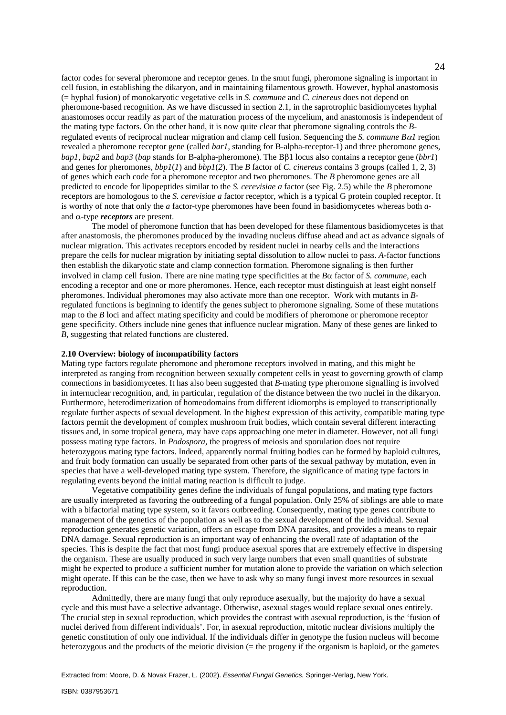factor codes for several pheromone and receptor genes. In the smut fungi, pheromone signaling is important in cell fusion, in establishing the dikaryon, and in maintaining filamentous growth. However, hyphal anastomosis (= hyphal fusion) of monokaryotic vegetative cells in *S. commune* and *C. cinereus* does not depend on pheromone-based recognition. As we have discussed in section 2.1, in the saprotrophic basidiomycetes hyphal anastomoses occur readily as part of the maturation process of the mycelium, and anastomosis is independent of the mating type factors. On the other hand, it is now quite clear that pheromone signaling controls the *B*regulated events of reciprocal nuclear migration and clamp cell fusion. Sequencing the *S. commune B*α*1* region revealed a pheromone receptor gene (called *bar1*, standing for B-alpha-receptor-1) and three pheromone genes, *bap1, bap2* and *bap3* (*bap* stands for B-alpha-pheromone). The Bβ1 locus also contains a receptor gene (*bbr1*) and genes for pheromones, *bbp1*(*1*) and *bbp1*(*2*). The *B* factor of *C. cinereus* contains 3 groups (called 1, 2, 3) of genes which each code for a pheromone receptor and two pheromones. The *B* pheromone genes are all predicted to encode for lipopeptides similar to the *S. cerevisiae a* factor (see Fig. 2.5) while the *B* pheromone receptors are homologous to the *S. cerevisiae a* factor receptor, which is a typical G protein coupled receptor. It is worthy of note that only the *a* factor-type pheromones have been found in basidiomycetes whereas both *a*and α-type *receptors* are present.

 The model of pheromone function that has been developed for these filamentous basidiomycetes is that after anastomosis, the pheromones produced by the invading nucleus diffuse ahead and act as advance signals of nuclear migration. This activates receptors encoded by resident nuclei in nearby cells and the interactions prepare the cells for nuclear migration by initiating septal dissolution to allow nuclei to pass. *A*-factor functions then establish the dikaryotic state and clamp connection formation. Pheromone signaling is then further involved in clamp cell fusion. There are nine mating type specificities at the *B*α factor of *S. commune*, each encoding a receptor and one or more pheromones. Hence, each receptor must distinguish at least eight nonself pheromones. Individual pheromones may also activate more than one receptor. Work with mutants in *B*regulated functions is beginning to identify the genes subject to pheromone signaling. Some of these mutations map to the *B* loci and affect mating specificity and could be modifiers of pheromone or pheromone receptor gene specificity. Others include nine genes that influence nuclear migration. Many of these genes are linked to *B*, suggesting that related functions are clustered.

## **2.10 Overview: biology of incompatibility factors**

Mating type factors regulate pheromone and pheromone receptors involved in mating, and this might be interpreted as ranging from recognition between sexually competent cells in yeast to governing growth of clamp connections in basidiomycetes. It has also been suggested that *B*-mating type pheromone signalling is involved in internuclear recognition, and, in particular, regulation of the distance between the two nuclei in the dikaryon. Furthermore, heterodimerization of homeodomains from different idiomorphs is employed to transcriptionally regulate further aspects of sexual development. In the highest expression of this activity, compatible mating type factors permit the development of complex mushroom fruit bodies, which contain several different interacting tissues and, in some tropical genera, may have caps approaching one meter in diameter. However, not all fungi possess mating type factors. In *Podospora*, the progress of meiosis and sporulation does not require heterozygous mating type factors. Indeed, apparently normal fruiting bodies can be formed by haploid cultures, and fruit body formation can usually be separated from other parts of the sexual pathway by mutation, even in species that have a well-developed mating type system. Therefore, the significance of mating type factors in regulating events beyond the initial mating reaction is difficult to judge.

 Vegetative compatibility genes define the individuals of fungal populations, and mating type factors are usually interpreted as favoring the outbreeding of a fungal population. Only 25% of siblings are able to mate with a bifactorial mating type system, so it favors outbreeding. Consequently, mating type genes contribute to management of the genetics of the population as well as to the sexual development of the individual. Sexual reproduction generates genetic variation, offers an escape from DNA parasites, and provides a means to repair DNA damage. Sexual reproduction is an important way of enhancing the overall rate of adaptation of the species. This is despite the fact that most fungi produce asexual spores that are extremely effective in dispersing the organism. These are usually produced in such very large numbers that even small quantities of substrate might be expected to produce a sufficient number for mutation alone to provide the variation on which selection might operate. If this can be the case, then we have to ask why so many fungi invest more resources in sexual reproduction.

 Admittedly, there are many fungi that only reproduce asexually, but the majority do have a sexual cycle and this must have a selective advantage. Otherwise, asexual stages would replace sexual ones entirely. The crucial step in sexual reproduction, which provides the contrast with asexual reproduction, is the 'fusion of nuclei derived from different individuals'. For, in asexual reproduction, mitotic nuclear divisions multiply the genetic constitution of only one individual. If the individuals differ in genotype the fusion nucleus will become heterozygous and the products of the meiotic division (= the progeny if the organism is haploid, or the gametes